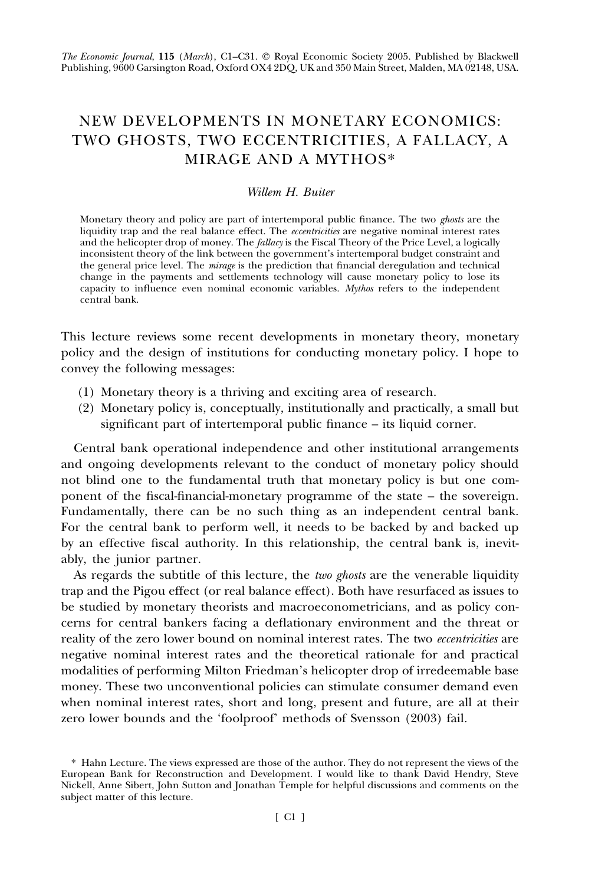# NEW DEVELOPMENTS IN MONETARY ECONOMICS: TWO GHOSTS, TWO ECCENTRICITIES, A FALLACY, A MIRAGE AND A MYTHOS\*

#### Willem H. Buiter

Monetary theory and policy are part of intertemporal public finance. The two ghosts are the liquidity trap and the real balance effect. The eccentricities are negative nominal interest rates and the helicopter drop of money. The fallacy is the Fiscal Theory of the Price Level, a logically inconsistent theory of the link between the government's intertemporal budget constraint and the general price level. The mirage is the prediction that financial deregulation and technical change in the payments and settlements technology will cause monetary policy to lose its capacity to influence even nominal economic variables. Mythos refers to the independent central bank.

This lecture reviews some recent developments in monetary theory, monetary policy and the design of institutions for conducting monetary policy. I hope to convey the following messages:

- (1) Monetary theory is a thriving and exciting area of research.
- (2) Monetary policy is, conceptually, institutionally and practically, a small but significant part of intertemporal public finance – its liquid corner.

Central bank operational independence and other institutional arrangements and ongoing developments relevant to the conduct of monetary policy should not blind one to the fundamental truth that monetary policy is but one component of the fiscal-financial-monetary programme of the state – the sovereign. Fundamentally, there can be no such thing as an independent central bank. For the central bank to perform well, it needs to be backed by and backed up by an effective fiscal authority. In this relationship, the central bank is, inevitably, the junior partner.

As regards the subtitle of this lecture, the *two ghosts* are the venerable liquidity trap and the Pigou effect (or real balance effect). Both have resurfaced as issues to be studied by monetary theorists and macroeconometricians, and as policy concerns for central bankers facing a deflationary environment and the threat or reality of the zero lower bound on nominal interest rates. The two *eccentricities* are negative nominal interest rates and the theoretical rationale for and practical modalities of performing Milton Friedman's helicopter drop of irredeemable base money. These two unconventional policies can stimulate consumer demand even when nominal interest rates, short and long, present and future, are all at their zero lower bounds and the 'foolproof' methods of Svensson (2003) fail.

<sup>\*</sup> Hahn Lecture. The views expressed are those of the author. They do not represent the views of the European Bank for Reconstruction and Development. I would like to thank David Hendry, Steve Nickell, Anne Sibert, John Sutton and Jonathan Temple for helpful discussions and comments on the subject matter of this lecture.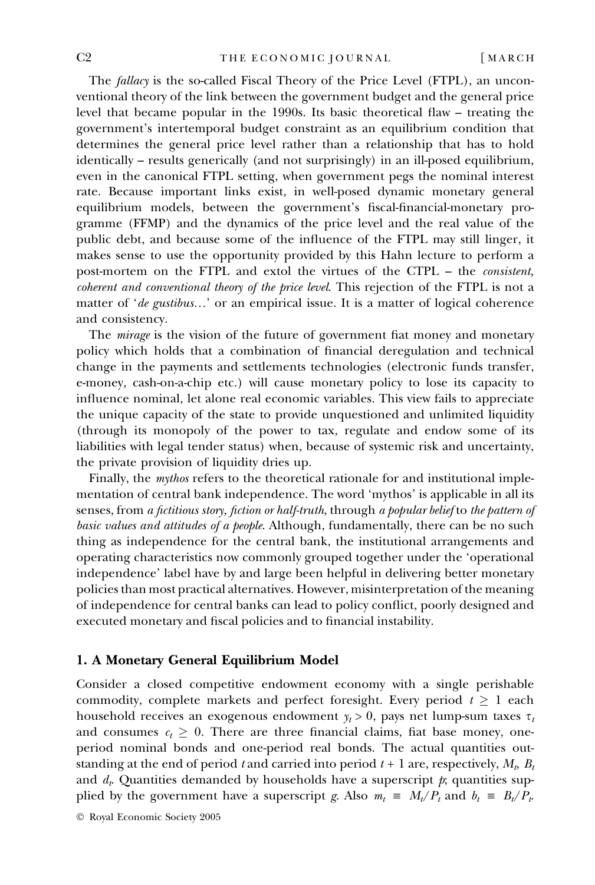The fallacy is the so-called Fiscal Theory of the Price Level (FTPL), an unconventional theory of the link between the government budget and the general price level that became popular in the 1990s. Its basic theoretical flaw – treating the government's intertemporal budget constraint as an equilibrium condition that determines the general price level rather than a relationship that has to hold identically – results generically (and not surprisingly) in an ill-posed equilibrium, even in the canonical FTPL setting, when government pegs the nominal interest rate. Because important links exist, in well-posed dynamic monetary general equilibrium models, between the government's fiscal-financial-monetary programme (FFMP) and the dynamics of the price level and the real value of the public debt, and because some of the influence of the FTPL may still linger, it makes sense to use the opportunity provided by this Hahn lecture to perform a post-mortem on the FTPL and extol the virtues of the CTPL – the consistent, coherent and conventional theory of the price level. This rejection of the FTPL is not a matter of 'de gustibus...' or an empirical issue. It is a matter of logical coherence and consistency.

The *mirage* is the vision of the future of government fiat money and monetary policy which holds that a combination of financial deregulation and technical change in the payments and settlements technologies (electronic funds transfer, e-money, cash-on-a-chip etc.) will cause monetary policy to lose its capacity to influence nominal, let alone real economic variables. This view fails to appreciate the unique capacity of the state to provide unquestioned and unlimited liquidity (through its monopoly of the power to tax, regulate and endow some of its liabilities with legal tender status) when, because of systemic risk and uncertainty, the private provision of liquidity dries up.

Finally, the mythos refers to the theoretical rationale for and institutional implementation of central bank independence. The word 'mythos' is applicable in all its senses, from a fictitious story, fiction or half-truth, through a popular belief to the pattern of basic values and attitudes of a people. Although, fundamentally, there can be no such thing as independence for the central bank, the institutional arrangements and operating characteristics now commonly grouped together under the 'operational independence' label have by and large been helpful in delivering better monetary policies than most practical alternatives. However, misinterpretation of the meaning of independence for central banks can lead to policy conflict, poorly designed and executed monetary and fiscal policies and to financial instability.

# 1. A Monetary General Equilibrium Model

Consider a closed competitive endowment economy with a single perishable commodity, complete markets and perfect foresight. Every period  $t \geq 1$  each household receives an exogenous endowment  $y_t > 0$ , pays net lump-sum taxes  $\tau_t$ and consumes  $c_t \geq 0$ . There are three financial claims, fiat base money, oneperiod nominal bonds and one-period real bonds. The actual quantities outstanding at the end of period t and carried into period  $t + 1$  are, respectively,  $M_b$ ,  $B_t$ and  $d_t$ . Quantities demanded by households have a superscript  $p$ ; quantities supplied by the government have a superscript g. Also  $m_t \equiv M_t/P_t$  and  $b_t \equiv B_t/P_t$ .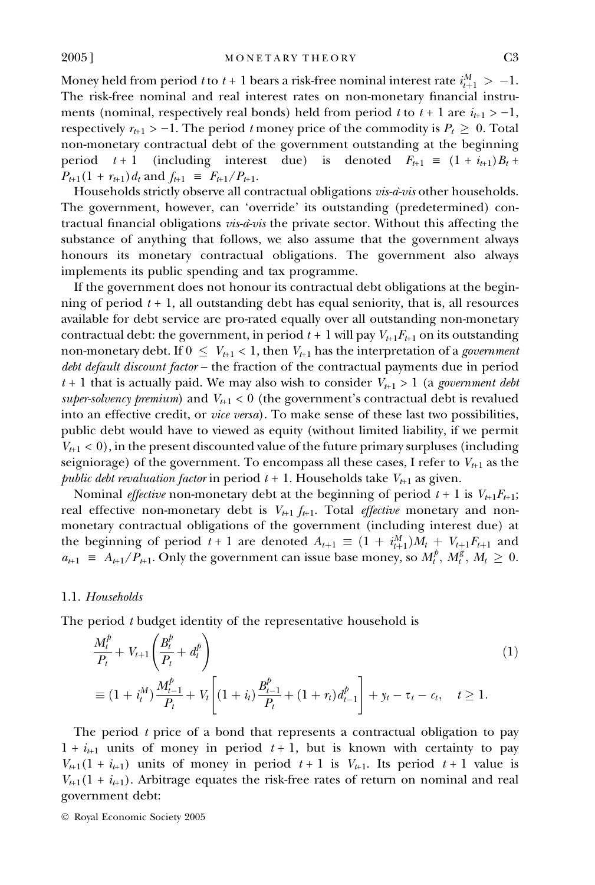Money held from period *t* to *t* + 1 bears a risk-free nominal interest rate  $i_{t+1}^{M} > -1$ . The risk-free nominal and real interest rates on non-monetary financial instruments (nominal, respectively real bonds) held from period t to  $t + 1$  are  $i_{t+1} > -1$ , respectively  $r_{t+1} > -1$ . The period t money price of the commodity is  $P_t \geq 0$ . Total non-monetary contractual debt of the government outstanding at the beginning period  $t + 1$  (including interest due) is denoted  $F_{t+1} \equiv (1 + i_{t+1})B_t +$  $P_{t+1}(1 + r_{t+1})d_t$  and  $f_{t+1} \equiv F_{t+1}/P_{t+1}$ .

Households strictly observe all contractual obligations vis-a-vis other households. The government, however, can 'override' its outstanding (predetermined) contractual financial obligations vis-à-vis the private sector. Without this affecting the substance of anything that follows, we also assume that the government always honours its monetary contractual obligations. The government also always implements its public spending and tax programme.

If the government does not honour its contractual debt obligations at the beginning of period  $t + 1$ , all outstanding debt has equal seniority, that is, all resources available for debt service are pro-rated equally over all outstanding non-monetary contractual debt: the government, in period  $t + 1$  will pay  $V_{t+1}F_{t+1}$  on its outstanding non-monetary debt. If  $0 \leq V_{t+1} < 1$ , then  $V_{t+1}$  has the interpretation of a government debt default discount factor – the fraction of the contractual payments due in period  $t + 1$  that is actually paid. We may also wish to consider  $V_{t+1} > 1$  (a government debt super-solvency premium) and  $V_{t+1} < 0$  (the government's contractual debt is revalued into an effective credit, or vice versa). To make sense of these last two possibilities, public debt would have to viewed as equity (without limited liability, if we permit  $V_{t+1}$  < 0), in the present discounted value of the future primary surpluses (including seigniorage) of the government. To encompass all these cases, I refer to  $V_{t+1}$  as the public debt revaluation factor in period  $t + 1$ . Households take  $V_{t+1}$  as given.

Nominal *effective* non-monetary debt at the beginning of period  $t + 1$  is  $V_{t+1}F_{t+1}$ ; real effective non-monetary debt is  $V_{t+1}$   $f_{t+1}$ . Total *effective* monetary and nonmonetary contractual obligations of the government (including interest due) at the beginning of period  $t+1$  are denoted  $A_{t+1} \equiv (1 + i_{t+1}^M)M_t + V_{t+1}F_{t+1}$  and  $a_{t+1} \equiv A_{t+1}/P_{t+1}$ . Only the government can issue base money, so  $M_t^{\beta}$ ,  $M_t^{\beta}$ ,  $M_t \geq 0$ .

#### 1.1. Households

The period  $t$  budget identity of the representative household is

$$
\frac{M_t^{\hat{p}}}{P_t} + V_{t+1} \left( \frac{B_t^{\hat{p}}}{P_t} + d_t^{\hat{p}} \right)
$$
\n
$$
\equiv (1 + i_t^M) \frac{M_{t-1}^{\hat{p}}}{P_t} + V_t \left[ (1 + i_t) \frac{B_{t-1}^{\hat{p}}}{P_t} + (1 + r_t) d_{t-1}^{\hat{p}} \right] + y_t - \tau_t - c_t, \quad t \ge 1.
$$
\n(1)

The period  $t$  price of a bond that represents a contractual obligation to pay  $1 + i_{t+1}$  units of money in period  $t + 1$ , but is known with certainty to pay  $V_{t+1}(1 + i_{t+1})$  units of money in period  $t + 1$  is  $V_{t+1}$ . Its period  $t + 1$  value is  $V_{t+1}(1 + i_{t+1})$ . Arbitrage equates the risk-free rates of return on nominal and real government debt:

 $©$  Royal Economic Society 2005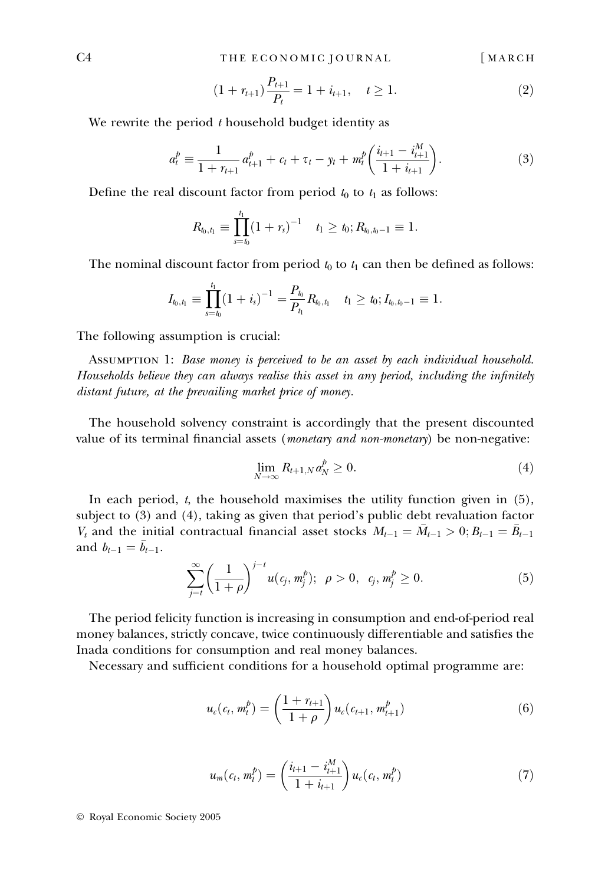$$
(1 + r_{t+1})\frac{P_{t+1}}{P_t} = 1 + i_{t+1}, \quad t \ge 1.
$$
 (2)

We rewrite the period  $t$  household budget identity as

$$
a_t^p \equiv \frac{1}{1 + r_{t+1}} a_{t+1}^p + c_t + \tau_t - y_t + m_t^p \left( \frac{i_{t+1} - i_{t+1}^M}{1 + i_{t+1}} \right). \tag{3}
$$

Define the real discount factor from period  $t_0$  to  $t_1$  as follows:

$$
R_{t_0,t_1}\equiv \prod_{s=t_0}^{t_1}(1+r_s)^{-1}\quad t_1\geq t_0; R_{t_0,t_0-1}\equiv 1.
$$

The nominal discount factor from period  $t_0$  to  $t_1$  can then be defined as follows:

$$
I_{t_0,t_1} \equiv \prod_{s=t_0}^{t_1} (1+i_s)^{-1} = \frac{P_{t_0}}{P_{t_1}} R_{t_0,t_1} \quad t_1 \geq t_0; I_{t_0,t_0-1} \equiv 1.
$$

The following assumption is crucial:

ASSUMPTION 1: Base money is perceived to be an asset by each individual household. Households believe they can always realise this asset in any period, including the infinitely distant future, at the prevailing market price of money.

The household solvency constraint is accordingly that the present discounted value of its terminal financial assets (monetary and non-monetary) be non-negative:

$$
\lim_{N \to \infty} R_{t+1,N} a_N^p \ge 0. \tag{4}
$$

In each period,  $t$ , the household maximises the utility function given in  $(5)$ , subject to (3) and (4), taking as given that period's public debt revaluation factor  $V_t$  and the initial contractual financial asset stocks  $M_{t-1} = \overline{M}_{t-1} > 0; B_{t-1} = \overline{B}_{t-1}$ and  $b_{t-1} = \bar{b}_{t-1}$ .

$$
\sum_{j=t}^{\infty} \left(\frac{1}{1+\rho}\right)^{j-t} u(c_j, m_j^p); \ \rho > 0, \ c_j, m_j^p \ge 0.
$$
 (5)

The period felicity function is increasing in consumption and end-of-period real money balances, strictly concave, twice continuously differentiable and satisfies the Inada conditions for consumption and real money balances.

Necessary and sufficient conditions for a household optimal programme are:

$$
u_c(c_t, m_t^p) = \left(\frac{1 + r_{t+1}}{1 + \rho}\right) u_c(c_{t+1}, m_{t+1}^p)
$$
\n(6)

$$
u_m(c_t, m_t^p) = \left(\frac{i_{t+1} - i_{t+1}^M}{1 + i_{t+1}}\right) u_c(c_t, m_t^p)
$$
\n<sup>(7)</sup>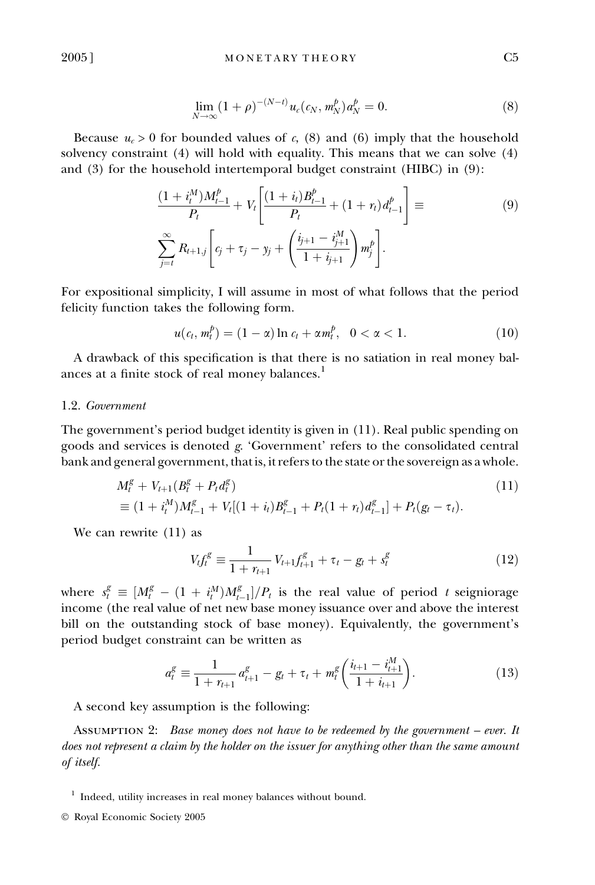$$
\lim_{N \to \infty} (1+\rho)^{-(N-t)} u_c(c_N, m_N^p) a_N^p = 0.
$$
\n(8)

Because  $u_c > 0$  for bounded values of c, (8) and (6) imply that the household solvency constraint (4) will hold with equality. This means that we can solve (4) and (3) for the household intertemporal budget constraint (HIBC) in (9):

$$
\frac{(1+i_t^M)M_{t-1}^p}{P_t} + V_t \left[ \frac{(1+i_t)B_{t-1}^p}{P_t} + (1+r_t)d_{t-1}^p \right] \equiv
$$
\n
$$
\sum_{j=t}^{\infty} R_{t+1,j} \left[ c_j + \tau_j - y_j + \left( \frac{i_{j+1} - i_{j+1}^M}{1+i_{j+1}} \right) m_j^p \right].
$$
\n(9)

For expositional simplicity, I will assume in most of what follows that the period felicity function takes the following form.

$$
u(c_t, m_t^p) = (1 - \alpha) \ln c_t + \alpha m_t^p, \quad 0 < \alpha < 1. \tag{10}
$$

A drawback of this specification is that there is no satiation in real money balances at a finite stock of real money balances.<sup>1</sup>

# 1.2. Government

The government's period budget identity is given in (11). Real public spending on goods and services is denoted g. 'Government' refers to the consolidated central bank and general government, that is, it refers to the state or the sovereign as a whole.

$$
M_t^g + V_{t+1}(B_t^g + P_t d_t^g)
$$
  
\n
$$
\equiv (1 + i_t^M) M_{t-1}^g + V_t [(1 + i_t) B_{t-1}^g + P_t (1 + r_t) d_{t-1}^g] + P_t (g_t - \tau_t).
$$
\n(11)

We can rewrite (11) as

$$
V_{t}f_{t}^{g} \equiv \frac{1}{1 + r_{t+1}} V_{t+1}f_{t+1}^{g} + \tau_{t} - g_{t} + s_{t}^{g}
$$
\n(12)

where  $s_t^g \equiv [M_t^g - (1 + i_t^M)M_{t-1}^g]/P_t$  is the real value of period t seigniorage income (the real value of net new base money issuance over and above the interest bill on the outstanding stock of base money). Equivalently, the government's period budget constraint can be written as

$$
a_t^g \equiv \frac{1}{1 + r_{t+1}} a_{t+1}^g - g_t + \tau_t + m_t^g \left( \frac{i_{t+1} - i_{t+1}^M}{1 + i_{t+1}} \right).
$$
 (13)

A second key assumption is the following:

ASSUMPTION 2: Base money does not have to be redeemed by the government – ever. It does not represent a claim by the holder on the issuer for anything other than the same amount of itself.

 $1$  Indeed, utility increases in real money balances without bound.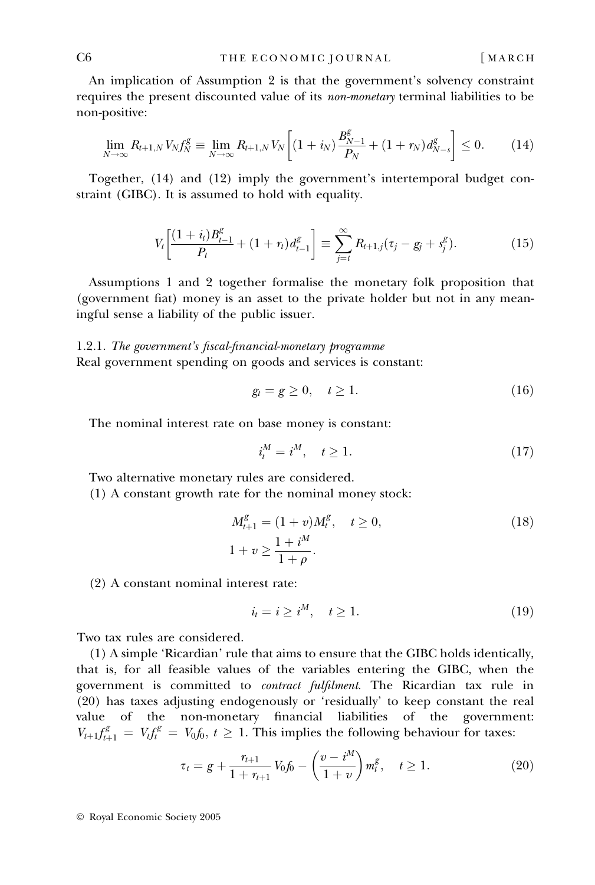An implication of Assumption 2 is that the government's solvency constraint requires the present discounted value of its non-monetary terminal liabilities to be non-positive:

$$
\lim_{N \to \infty} R_{t+1,N} V_N f_N^g \equiv \lim_{N \to \infty} R_{t+1,N} V_N \left[ (1 + i_N) \frac{B_{N-1}^g}{P_N} + (1 + r_N) d_{N-s}^g \right] \le 0. \tag{14}
$$

Together, (14) and (12) imply the government's intertemporal budget constraint (GIBC). It is assumed to hold with equality.

$$
V_t \left[ \frac{(1+i_l)B_{t-1}^g}{P_t} + (1+r_l)d_{t-1}^g \right] \equiv \sum_{j=t}^{\infty} R_{t+1,j}(\tau_j - g_j + s_j^g). \tag{15}
$$

Assumptions 1 and 2 together formalise the monetary folk proposition that (government fiat) money is an asset to the private holder but not in any meaningful sense a liability of the public issuer.

## 1.2.1. The government's fiscal-financial-monetary programme

Real government spending on goods and services is constant:

$$
g_t = g \ge 0, \quad t \ge 1. \tag{16}
$$

The nominal interest rate on base money is constant:

$$
i_t^M = i^M, \quad t \ge 1. \tag{17}
$$

Two alternative monetary rules are considered.

(1) A constant growth rate for the nominal money stock:

$$
M_{t+1}^{g} = (1+v)M_{t}^{g}, \quad t \ge 0,
$$
  

$$
1+v \ge \frac{1+i^{M}}{1+\rho}.
$$
 (18)

(2) A constant nominal interest rate:

$$
i_t = i \ge i^M, \quad t \ge 1. \tag{19}
$$

Two tax rules are considered.

(1) A simple 'Ricardian' rule that aims to ensure that the GIBC holds identically, that is, for all feasible values of the variables entering the GIBC, when the government is committed to contract fulfilment. The Ricardian tax rule in (20) has taxes adjusting endogenously or 'residually' to keep constant the real value of the non-monetary financial liabilities of the government:  $V_{t+1}f_{t+1}^g = V_t f_t^g = V_0 f_0, t \ge 1$ . This implies the following behaviour for taxes:

$$
\tau_t = g + \frac{r_{t+1}}{1 + r_{t+1}} V_0 f_0 - \left(\frac{v - i^M}{1 + v}\right) m_t^g, \quad t \ge 1.
$$
 (20)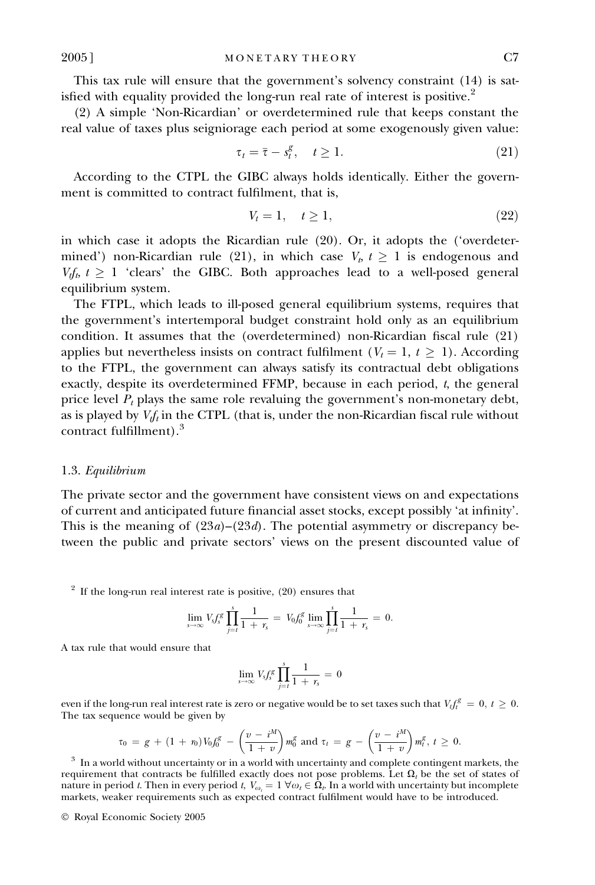This tax rule will ensure that the government's solvency constraint (14) is satisfied with equality provided the long-run real rate of interest is positive.<sup>2</sup>

(2) A simple 'Non-Ricardian' or overdetermined rule that keeps constant the real value of taxes plus seigniorage each period at some exogenously given value:

$$
\tau_t = \bar{\tau} - s_t^g, \quad t \ge 1. \tag{21}
$$

According to the CTPL the GIBC always holds identically. Either the government is committed to contract fulfilment, that is,

$$
V_t = 1, \quad t \ge 1,\tag{22}
$$

in which case it adopts the Ricardian rule (20). Or, it adopts the ('overdetermined') non-Ricardian rule (21), in which case  $V<sub>b</sub> t \ge 1$  is endogenous and  $V_{th}$   $t \geq 1$  'clears' the GIBC. Both approaches lead to a well-posed general equilibrium system.

The FTPL, which leads to ill-posed general equilibrium systems, requires that the government's intertemporal budget constraint hold only as an equilibrium condition. It assumes that the (overdetermined) non-Ricardian fiscal rule (21) applies but nevertheless insists on contract fulfilment ( $V_t = 1, t \ge 1$ ). According to the FTPL, the government can always satisfy its contractual debt obligations exactly, despite its overdetermined FFMP, because in each period,  $t$ , the general price level  $P_t$  plays the same role revaluing the government's non-monetary debt, as is played by  $V_{th}$  in the CTPL (that is, under the non-Ricardian fiscal rule without contract fulfillment).<sup>3</sup>

#### 1.3. Equilibrium

The private sector and the government have consistent views on and expectations of current and anticipated future financial asset stocks, except possibly 'at infinity'. This is the meaning of  $(23a)$ – $(23d)$ . The potential asymmetry or discrepancy between the public and private sectors' views on the present discounted value of

 $2^2$  If the long-run real interest rate is positive, (20) ensures that

$$
\lim_{s \to \infty} V_s f_s^g \prod_{j=t}^s \frac{1}{1 + r_s} = V_0 f_0^g \lim_{s \to \infty} \prod_{j=t}^s \frac{1}{1 + r_s} = 0.
$$

A tax rule that would ensure that

$$
\lim_{s\to\infty}V_sf_s^g\prod_{j=t}^s\frac{1}{1+r_s}=0
$$

even if the long-run real interest rate is zero or negative would be to set taxes such that  $V_t f_t^g = 0, t \ge 0$ . The tax sequence would be given by

$$
\tau_0 = g + (1 + r_0) V_0 f_0^g - \left(\frac{v - i^M}{1 + v}\right) m_0^g \text{ and } \tau_t = g - \left(\frac{v - i^M}{1 + v}\right) m_t^g, t \ge 0.
$$

 $3\,$  In a world without uncertainty or in a world with uncertainty and complete contingent markets, the requirement that contracts be fulfilled exactly does not pose problems. Let  $\Omega_t$  be the set of states of nature in period t. Then in every period t,  $V_{\omega_i} = 1 \,\forall \omega_i \in \Omega_i$ . In a world with uncertainty but incomplete markets, weaker requirements such as expected contract fulfilment would have to be introduced.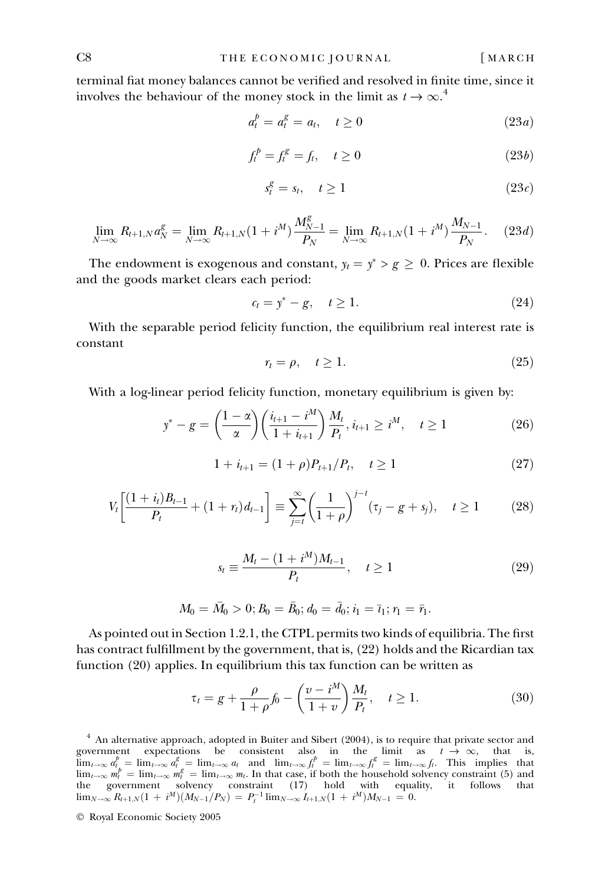terminal fiat money balances cannot be verified and resolved in finite time, since it involves the behaviour of the money stock in the limit as  $t \to \infty$ .<sup>4</sup>

$$
a_t^p = a_t^g = a_t, \quad t \ge 0 \tag{23a}
$$

$$
f_t^p = f_t^g = f_t, \quad t \ge 0 \tag{23b}
$$

$$
s_t^g = s_t, \quad t \ge 1 \tag{23c}
$$

$$
\lim_{N \to \infty} R_{t+1,N} a_N^g = \lim_{N \to \infty} R_{t+1,N} (1 + i^M) \frac{M_{N-1}^g}{P_N} = \lim_{N \to \infty} R_{t+1,N} (1 + i^M) \frac{M_{N-1}}{P_N}.
$$
 (23*d*)

The endowment is exogenous and constant,  $y_t = y^* > g \ge 0$ . Prices are flexible and the goods market clears each period:

$$
c_t = y^* - g, \quad t \ge 1. \tag{24}
$$

With the separable period felicity function, the equilibrium real interest rate is constant

$$
r_t = \rho, \quad t \ge 1. \tag{25}
$$

With a log-linear period felicity function, monetary equilibrium is given by:

$$
y^* - g = \left(\frac{1-\alpha}{\alpha}\right) \left(\frac{i_{t+1} - i^M}{1 + i_{t+1}}\right) \frac{M_t}{P_t}, i_{t+1} \ge i^M, \quad t \ge 1
$$
 (26)

$$
1 + i_{t+1} = (1 + \rho)P_{t+1}/P_t, \quad t \ge 1
$$
\n(27)

$$
V_t \left[ \frac{(1+i_t)B_{t-1}}{P_t} + (1+r_t)d_{t-1} \right] \equiv \sum_{j=t}^{\infty} \left( \frac{1}{1+\rho} \right)^{j-t} (\tau_j - g + s_j), \quad t \ge 1 \tag{28}
$$

$$
s_t \equiv \frac{M_t - (1 + i^M)M_{t-1}}{P_t}, \quad t \ge 1
$$
\n(29)

$$
M_0 = \bar{M}_0 > 0; B_0 = \bar{B}_0; d_0 = \bar{d}_0; i_1 = \bar{i}_1; r_1 = \bar{r}_1.
$$

As pointed out in Section 1.2.1, the CTPL permits two kinds of equilibria. The first has contract fulfillment by the government, that is, (22) holds and the Ricardian tax function (20) applies. In equilibrium this tax function can be written as

$$
\tau_t = g + \frac{\rho}{1+\rho} f_0 - \left(\frac{v - i^M}{1+v}\right) \frac{M_t}{P_t}, \quad t \ge 1.
$$
 (30)

<sup>4</sup> An alternative approach, adopted in Buiter and Sibert (2004), is to require that private sector and government expectations be consistent also in the limit as  $t \to \infty$ , that is,<br> $\lim_{t \to \infty} a_t^{\beta} = \lim_{t \to \infty} a_t^{\beta} = \lim_{t \to \infty} a_t$  and  $\lim_{t \to \infty} f_t^{\beta} = \lim_{t \to \infty} f_t^{\beta} = \lim_{t \to \infty} f_t$ . This implies that<br> $\lim_{t \to \infty} m_t^{\beta} = \lim_{t$ the government solvency constraint (17) hold with equality, it follows that  $\lim_{N\to\infty} R_{t+1,N}(1 + i^M)(M_{N-1}/P_N) = P_t^{-1} \lim_{N\to\infty} I_{t+1,N}(1 + i^M)M_{N-1} = 0.$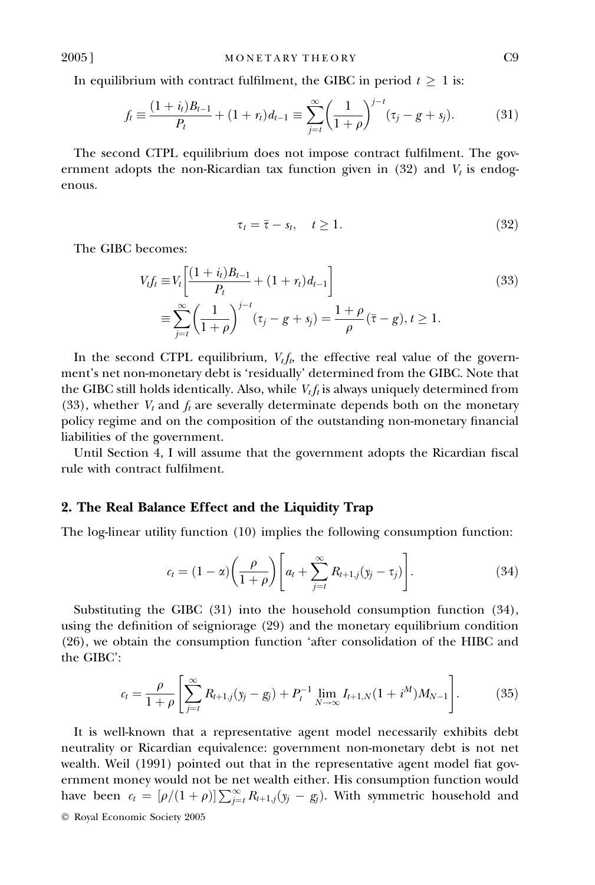In equilibrium with contract fulfilment, the GIBC in period  $t \geq 1$  is:

$$
f_t \equiv \frac{(1+i_t)B_{t-1}}{P_t} + (1+\tau_t)d_{t-1} \equiv \sum_{j=t}^{\infty} \left(\frac{1}{1+\rho}\right)^{j-t} (\tau_j - g + s_j).
$$
 (31)

The second CTPL equilibrium does not impose contract fulfilment. The government adopts the non-Ricardian tax function given in (32) and  $V_t$  is endogenous.

$$
\tau_t = \bar{\tau} - s_t, \quad t \ge 1. \tag{32}
$$

The GIBC becomes:

$$
V_{t}f_{t} \equiv V_{t} \left[ \frac{(1+i_{t})B_{t-1}}{P_{t}} + (1+r_{t})d_{t-1} \right]
$$
  

$$
\equiv \sum_{j=t}^{\infty} \left( \frac{1}{1+\rho} \right)^{j-t} (\tau_{j} - g + s_{j}) = \frac{1+\rho}{\rho} (\bar{\tau} - g), t \ge 1.
$$
 (33)

In the second CTPL equilibrium,  $V_t f_b$ , the effective real value of the government's net non-monetary debt is 'residually' determined from the GIBC. Note that the GIBC still holds identically. Also, while  $V_t f_t$  is always uniquely determined from (33), whether  $V_t$  and  $f_t$  are severally determinate depends both on the monetary policy regime and on the composition of the outstanding non-monetary financial liabilities of the government.

Until Section 4, I will assume that the government adopts the Ricardian fiscal rule with contract fulfilment.

# 2. The Real Balance Effect and the Liquidity Trap

The log-linear utility function (10) implies the following consumption function:

$$
c_t = (1 - \alpha) \left(\frac{\rho}{1 + \rho}\right) \left[a_t + \sum_{j=t}^{\infty} R_{t+1,j}(y_j - \tau_j)\right].
$$
\n(34)

Substituting the GIBC (31) into the household consumption function (34), using the definition of seigniorage (29) and the monetary equilibrium condition (26), we obtain the consumption function 'after consolidation of the HIBC and the GIBC':

$$
c_{t} = \frac{\rho}{1+\rho} \left[ \sum_{j=t}^{\infty} R_{t+1,j}(y_{j}-g_{j}) + P_{t}^{-1} \lim_{N \to \infty} I_{t+1,N}(1+i^{M}) M_{N-1} \right].
$$
 (35)

It is well-known that a representative agent model necessarily exhibits debt neutrality or Ricardian equivalence: government non-monetary debt is not net wealth. Weil (1991) pointed out that in the representative agent model fiat government money would not be net wealth either. His consumption function would have been  $c_t = [\rho/(1+\rho)] \sum_{j=t}^{\infty} R_{t+1,j}(y_j - g_j)$ . With symmetric household and  $©$  Royal Economic Society 2005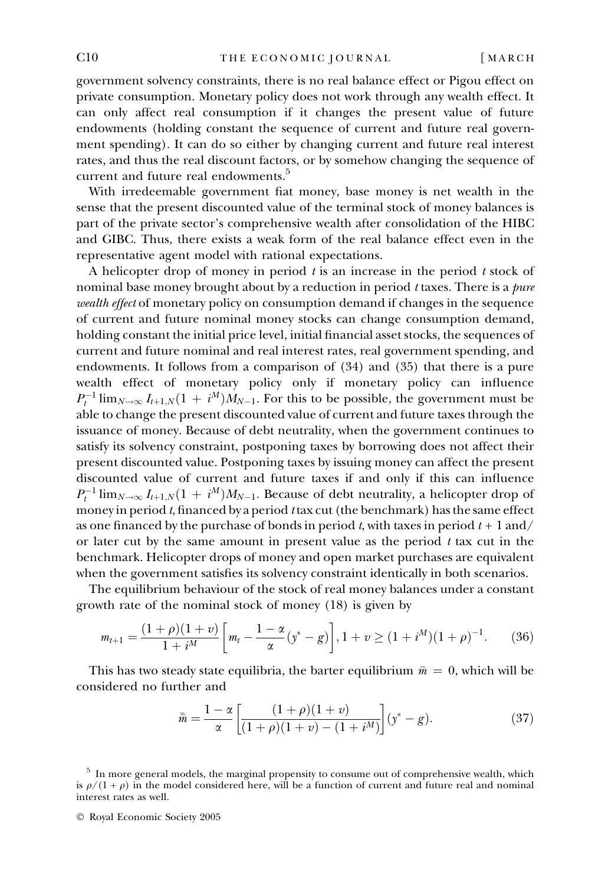government solvency constraints, there is no real balance effect or Pigou effect on private consumption. Monetary policy does not work through any wealth effect. It can only affect real consumption if it changes the present value of future endowments (holding constant the sequence of current and future real government spending). It can do so either by changing current and future real interest rates, and thus the real discount factors, or by somehow changing the sequence of current and future real endowments.<sup>5</sup>

With irredeemable government fiat money, base money is net wealth in the sense that the present discounted value of the terminal stock of money balances is part of the private sector's comprehensive wealth after consolidation of the HIBC and GIBC. Thus, there exists a weak form of the real balance effect even in the representative agent model with rational expectations.

A helicopter drop of money in period  $t$  is an increase in the period  $t$  stock of nominal base money brought about by a reduction in period  $t$  taxes. There is a *pure* wealth effect of monetary policy on consumption demand if changes in the sequence of current and future nominal money stocks can change consumption demand, holding constant the initial price level, initial financial asset stocks, the sequences of current and future nominal and real interest rates, real government spending, and endowments. It follows from a comparison of (34) and (35) that there is a pure wealth effect of monetary policy only if monetary policy can influence  $P_t^{-1}$  lim<sub>N→∞</sub>  $I_{t+1,N}(1 + i^M)M_{N-1}$ . For this to be possible, the government must be able to change the present discounted value of current and future taxes through the issuance of money. Because of debt neutrality, when the government continues to satisfy its solvency constraint, postponing taxes by borrowing does not affect their present discounted value. Postponing taxes by issuing money can affect the present discounted value of current and future taxes if and only if this can influence  $P_t^{-1} \lim_{N \to \infty} I_{t+1,N}(1 + i^M) M_{N-1}$ . Because of debt neutrality, a helicopter drop of money in period t, financed by a period t tax cut (the benchmark) has the same effect as one financed by the purchase of bonds in period t, with taxes in period  $t + 1$  and/ or later cut by the same amount in present value as the period  $t$  tax cut in the benchmark. Helicopter drops of money and open market purchases are equivalent when the government satisfies its solvency constraint identically in both scenarios.

The equilibrium behaviour of the stock of real money balances under a constant growth rate of the nominal stock of money (18) is given by

$$
m_{t+1} = \frac{(1+\rho)(1+\nu)}{1+i^M} \left[ m_t - \frac{1-\alpha}{\alpha} (y^* - g) \right], 1+\nu \ge (1+i^M)(1+\rho)^{-1}.
$$
 (36)

This has two steady state equilibria, the barter equilibrium  $\bar{m} = 0$ , which will be considered no further and

$$
\bar{\bar{m}} = \frac{1 - \alpha}{\alpha} \left[ \frac{(1 + \rho)(1 + v)}{(1 + \rho)(1 + v) - (1 + i^M)} \right] (y^* - g).
$$
 (37)

<sup>&</sup>lt;sup>5</sup> In more general models, the marginal propensity to consume out of comprehensive wealth, which is  $\rho/(1 + \rho)$  in the model considered here, will be a function of current and future real and nominal interest rates as well.

Royal Economic Society 2005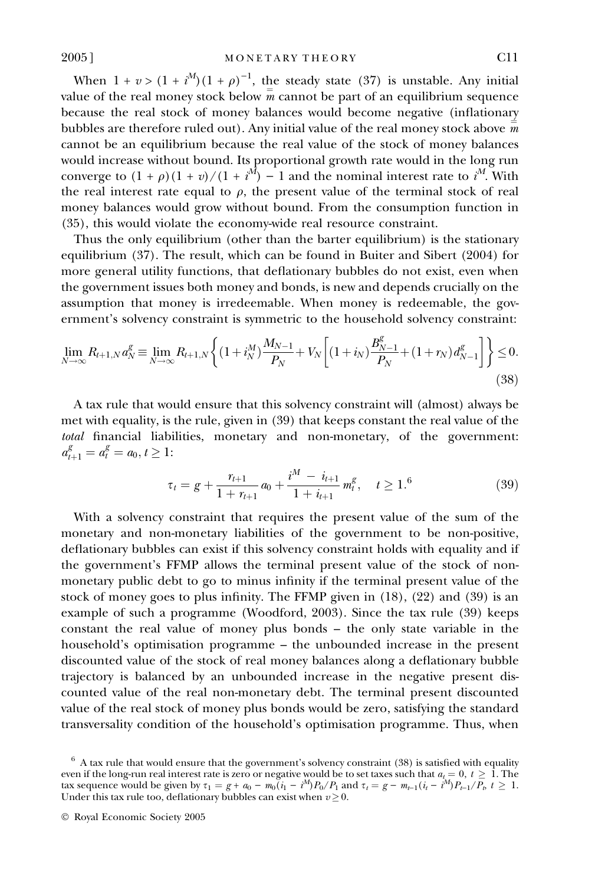2005 ] MONETARY THEORY **CI1** 

When  $1 + v > (1 + i^M)(1 + \rho)^{-1}$ , the steady state (37) is unstable. Any initial value of the real money stock below  $\frac{1}{m}$  cannot be part of an equilibrium sequence because the real stock of money balances would become negative (inflationary bubbles are therefore ruled out). Any initial value of the real money stock above  $\frac{2}{m}$ cannot be an equilibrium because the real value of the stock of money balances would increase without bound. Its proportional growth rate would in the long run converge to  $(1 + \rho)(1 + v)/(1 + i^{\tilde{M}}) - 1$  and the nominal interest rate to  $i^{\tilde{M}}$ . With the real interest rate equal to  $\rho$ , the present value of the terminal stock of real money balances would grow without bound. From the consumption function in (35), this would violate the economy-wide real resource constraint.

Thus the only equilibrium (other than the barter equilibrium) is the stationary equilibrium (37). The result, which can be found in Buiter and Sibert (2004) for more general utility functions, that deflationary bubbles do not exist, even when the government issues both money and bonds, is new and depends crucially on the assumption that money is irredeemable. When money is redeemable, the government's solvency constraint is symmetric to the household solvency constraint:

$$
\lim_{N \to \infty} R_{t+1,N} a_N^g \equiv \lim_{N \to \infty} R_{t+1,N} \left\{ (1 + i_N^M) \frac{M_{N-1}}{P_N} + V_N \left[ (1 + i_N) \frac{B_{N-1}^g}{P_N} + (1 + r_N) d_{N-1}^g \right] \right\} \le 0.
$$
\n(38)

A tax rule that would ensure that this solvency constraint will (almost) always be met with equality, is the rule, given in (39) that keeps constant the real value of the total financial liabilities, monetary and non-monetary, of the government:  $a_{t+1}^g = a_t^g = a_0, t \geq 1$ :

$$
\tau_t = g + \frac{r_{t+1}}{1 + r_{t+1}} a_0 + \frac{i^M - i_{t+1}}{1 + i_{t+1}} m_t^g, \quad t \ge 1.^6
$$
\n(39)

With a solvency constraint that requires the present value of the sum of the monetary and non-monetary liabilities of the government to be non-positive, deflationary bubbles can exist if this solvency constraint holds with equality and if the government's FFMP allows the terminal present value of the stock of nonmonetary public debt to go to minus infinity if the terminal present value of the stock of money goes to plus infinity. The FFMP given in (18), (22) and (39) is an example of such a programme (Woodford, 2003). Since the tax rule (39) keeps constant the real value of money plus bonds – the only state variable in the household's optimisation programme – the unbounded increase in the present discounted value of the stock of real money balances along a deflationary bubble trajectory is balanced by an unbounded increase in the negative present discounted value of the real non-monetary debt. The terminal present discounted value of the real stock of money plus bonds would be zero, satisfying the standard transversality condition of the household's optimisation programme. Thus, when

 $6$  A tax rule that would ensure that the government's solvency constraint (38) is satisfied with equality even if the long-run real interest rate is zero or negative would be to set taxes such that  $a_t = 0, t \ge 1$ . The tax sequence would be given by  $\tau_1 = g + a_0 - m_0(\tilde{i}_1 - \tilde{i}^M) P_0/P_1$  and  $\tau_i = g - m_{i-1}(\tilde{i}_i - \tilde{i}^M) P_{i-1}/P_i$ ,  $t \ge 1$ . Under this tax rule too, deflationary bubbles can exist when  $v \ge 0$ .

Royal Economic Society 2005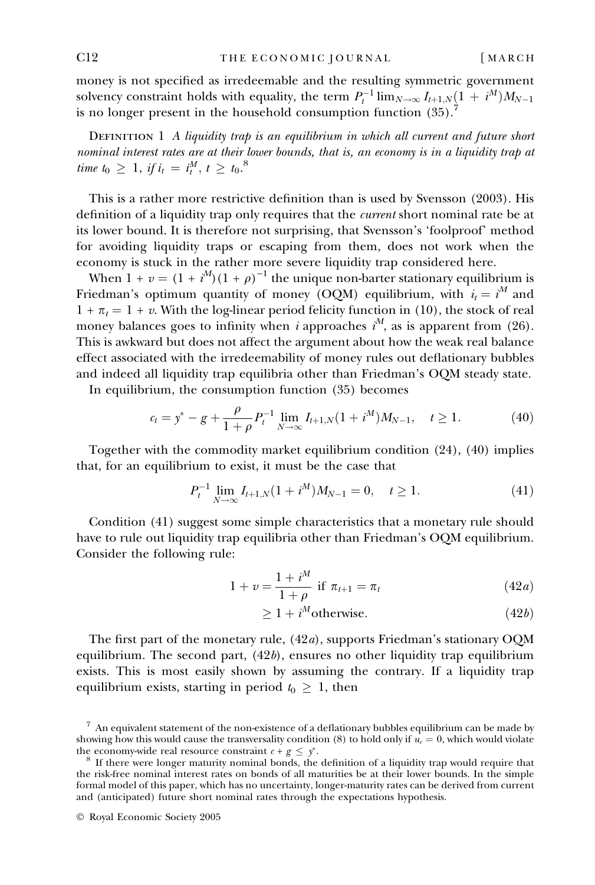money is not specified as irredeemable and the resulting symmetric government solvency constraint holds with equality, the term  $P_t^{-1} \lim_{N \to \infty} I_{t+1,N} (1 + i^M) M_{N-1}$ is no longer present in the household consumption function  $(35)$ .<sup>7</sup>

DEFINITION  $1$  A liquidity trap is an equilibrium in which all current and future short nominal interest rates are at their lower bounds, that is, an economy is in a liquidity trap at time  $t_0 \geq 1$ , if  $i_t = i_t^M$ ,  $t \geq t_0$ .<sup>8</sup>

This is a rather more restrictive definition than is used by Svensson (2003). His definition of a liquidity trap only requires that the current short nominal rate be at its lower bound. It is therefore not surprising, that Svensson's 'foolproof' method for avoiding liquidity traps or escaping from them, does not work when the economy is stuck in the rather more severe liquidity trap considered here.

When  $1 + v = (1 + i^M)(1 + \rho)^{-1}$  the unique non-barter stationary equilibrium is Friedman's optimum quantity of money (OQM) equilibrium, with  $i_t = i^M$  and  $1 + \pi_t = 1 + v$ . With the log-linear period felicity function in (10), the stock of real money balances goes to infinity when i approaches  $i^M$ , as is apparent from (26). This is awkward but does not affect the argument about how the weak real balance effect associated with the irredeemability of money rules out deflationary bubbles and indeed all liquidity trap equilibria other than Friedman's OQM steady state.

In equilibrium, the consumption function (35) becomes

$$
c_t = y^* - g + \frac{\rho}{1+\rho} P_t^{-1} \lim_{N \to \infty} I_{t+1,N}(1+i^M)M_{N-1}, \quad t \ge 1.
$$
 (40)

Together with the commodity market equilibrium condition (24), (40) implies that, for an equilibrium to exist, it must be the case that

$$
P_t^{-1} \lim_{N \to \infty} I_{t+1,N}(1 + i^M)M_{N-1} = 0, \quad t \ge 1.
$$
 (41)

Condition (41) suggest some simple characteristics that a monetary rule should have to rule out liquidity trap equilibria other than Friedman's OQM equilibrium. Consider the following rule:

$$
1 + v = \frac{1 + i^M}{1 + \rho} \text{ if } \pi_{t+1} = \pi_t \tag{42a}
$$

$$
\geq 1 + i^M \text{otherwise.} \tag{42b}
$$

The first part of the monetary rule,  $(42a)$ , supports Friedman's stationary OQM equilibrium. The second part,  $(42b)$ , ensures no other liquidity trap equilibrium exists. This is most easily shown by assuming the contrary. If a liquidity trap equilibrium exists, starting in period  $t_0 \geq 1$ , then

 $7$  An equivalent statement of the non-existence of a deflationary bubbles equilibrium can be made by showing how this would cause the transversality condition (8) to hold only if  $u_c = 0$ , which would violate the economy-wide real resource constraint  $c + g \leq y^*$ .

 $8$  If there were longer maturity nominal bonds, the definition of a liquidity trap would require that the risk-free nominal interest rates on bonds of all maturities be at their lower bounds. In the simple formal model of this paper, which has no uncertainty, longer-maturity rates can be derived from current and (anticipated) future short nominal rates through the expectations hypothesis.

Royal Economic Society 2005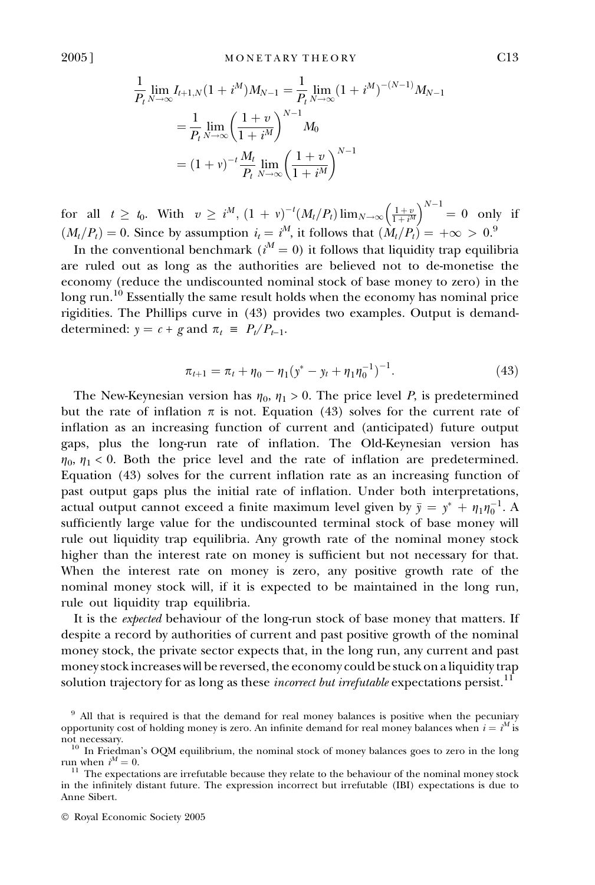$$
\frac{1}{P_t} \lim_{N \to \infty} I_{t+1,N} (1 + i^M) M_{N-1} = \frac{1}{P_t} \lim_{N \to \infty} (1 + i^M)^{-(N-1)} M_{N-1}
$$
\n
$$
= \frac{1}{P_t} \lim_{N \to \infty} \left( \frac{1 + v}{1 + i^M} \right)^{N-1} M_0
$$
\n
$$
= (1 + v)^{-t} \frac{M_t}{P_t} \lim_{N \to \infty} \left( \frac{1 + v}{1 + i^M} \right)^{N-1}
$$

for all  $t \geq t_0$ . With  $v \geq i^M$ ,  $(1 + v)^{-t}(M_t/P_t) \lim_{N \to \infty} \left( \frac{1 + v}{1 + i^M} \right)$  $\left(\frac{1+v}{1+i^M}\right)^{N-1} = 0$  only if  $(M_t/P_t) = 0$ . Since by assumption  $i_t = i^M$ , it follows that  $(M_t/P_t) = +\infty > 0.9$ 

In the conventional benchmark  $(i^M = 0)$  it follows that liquidity trap equilibria are ruled out as long as the authorities are believed not to de-monetise the economy (reduce the undiscounted nominal stock of base money to zero) in the long run.<sup>10</sup> Essentially the same result holds when the economy has nominal price rigidities. The Phillips curve in (43) provides two examples. Output is demanddetermined:  $y = c + g$  and  $\pi_t \equiv P_t/P_{t-1}$ .

$$
\pi_{t+1} = \pi_t + \eta_0 - \eta_1 (y^* - y_t + \eta_1 \eta_0^{-1})^{-1}.
$$
\n(43)

The New-Keynesian version has  $\eta_0$ ,  $\eta_1 > 0$ . The price level P, is predetermined but the rate of inflation  $\pi$  is not. Equation (43) solves for the current rate of inflation as an increasing function of current and (anticipated) future output gaps, plus the long-run rate of inflation. The Old-Keynesian version has  $\eta_0$ ,  $\eta_1$  < 0. Both the price level and the rate of inflation are predetermined. Equation (43) solves for the current inflation rate as an increasing function of past output gaps plus the initial rate of inflation. Under both interpretations, actual output cannot exceed a finite maximum level given by  $\bar{y} = y^* + \eta_1 \eta_0^{-1}$ . A sufficiently large value for the undiscounted terminal stock of base money will rule out liquidity trap equilibria. Any growth rate of the nominal money stock higher than the interest rate on money is sufficient but not necessary for that. When the interest rate on money is zero, any positive growth rate of the nominal money stock will, if it is expected to be maintained in the long run, rule out liquidity trap equilibria.

It is the *expected* behaviour of the long-run stock of base money that matters. If despite a record by authorities of current and past positive growth of the nominal money stock, the private sector expects that, in the long run, any current and past money stock increases will be reversed, the economy could be stuck on a liquidity trap solution trajectory for as long as these *incorrect but irrefutable* expectations persist.<sup>11</sup>

<sup>&</sup>lt;sup>9</sup> All that is required is that the demand for real money balances is positive when the pecuniary opportunity cost of holding money is zero. An infinite demand for real money balances when  $i = i^M$  is not necessary.<br><sup>10</sup> In Friedman's OQM equilibrium, the nominal stock of money balances goes to zero in the long

run when  $i^M = 0$ .

 $11$  The expectations are irrefutable because they relate to the behaviour of the nominal money stock in the infinitely distant future. The expression incorrect but irrefutable (IBI) expectations is due to Anne Sibert.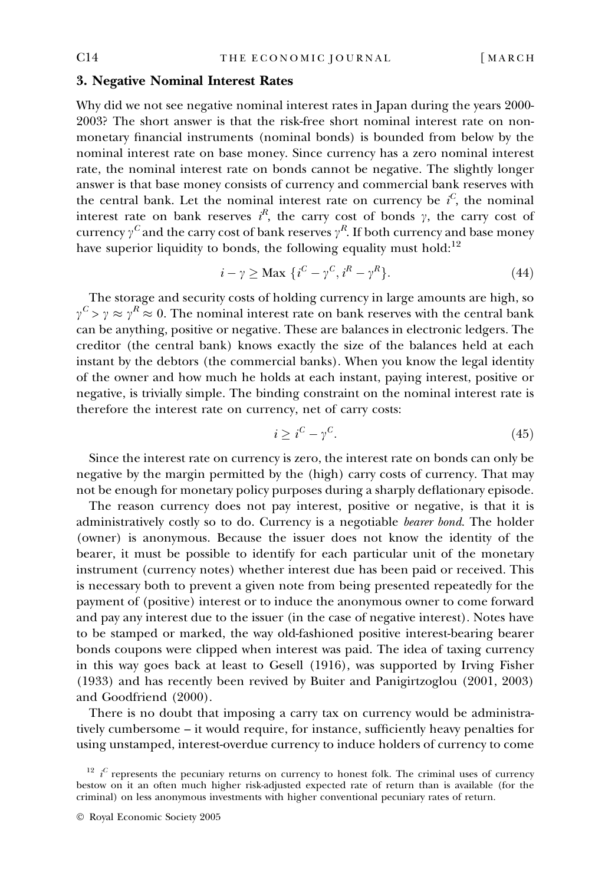## 3. Negative Nominal Interest Rates

Why did we not see negative nominal interest rates in Japan during the years 2000- 2003? The short answer is that the risk-free short nominal interest rate on nonmonetary financial instruments (nominal bonds) is bounded from below by the nominal interest rate on base money. Since currency has a zero nominal interest rate, the nominal interest rate on bonds cannot be negative. The slightly longer answer is that base money consists of currency and commercial bank reserves with the central bank. Let the nominal interest rate on currency be  $i^C$ , the nominal interest rate on bank reserves  $i^R$ , the carry cost of bonds  $\gamma$ , the carry cost of currency  $\gamma^C$  and the carry cost of bank reserves  $\gamma^R$ . If both currency and base money have superior liquidity to bonds, the following equality must hold: $12$ 

$$
i - \gamma \ge \text{Max } \{i^C - \gamma^C, i^R - \gamma^R\}. \tag{44}
$$

The storage and security costs of holding currency in large amounts are high, so  $\gamma^C > \gamma \approx \gamma^R \approx 0.$  The nominal interest rate on bank reserves with the central bank can be anything, positive or negative. These are balances in electronic ledgers. The creditor (the central bank) knows exactly the size of the balances held at each instant by the debtors (the commercial banks). When you know the legal identity of the owner and how much he holds at each instant, paying interest, positive or negative, is trivially simple. The binding constraint on the nominal interest rate is therefore the interest rate on currency, net of carry costs:

$$
i \geq i^C - \gamma^C. \tag{45}
$$

Since the interest rate on currency is zero, the interest rate on bonds can only be negative by the margin permitted by the (high) carry costs of currency. That may not be enough for monetary policy purposes during a sharply deflationary episode.

The reason currency does not pay interest, positive or negative, is that it is administratively costly so to do. Currency is a negotiable bearer bond. The holder (owner) is anonymous. Because the issuer does not know the identity of the bearer, it must be possible to identify for each particular unit of the monetary instrument (currency notes) whether interest due has been paid or received. This is necessary both to prevent a given note from being presented repeatedly for the payment of (positive) interest or to induce the anonymous owner to come forward and pay any interest due to the issuer (in the case of negative interest). Notes have to be stamped or marked, the way old-fashioned positive interest-bearing bearer bonds coupons were clipped when interest was paid. The idea of taxing currency in this way goes back at least to Gesell (1916), was supported by Irving Fisher (1933) and has recently been revived by Buiter and Panigirtzoglou (2001, 2003) and Goodfriend (2000).

There is no doubt that imposing a carry tax on currency would be administratively cumbersome – it would require, for instance, sufficiently heavy penalties for using unstamped, interest-overdue currency to induce holders of currency to come

 $12$  i<sup>c</sup> represents the pecuniary returns on currency to honest folk. The criminal uses of currency bestow on it an often much higher risk-adjusted expected rate of return than is available (for the criminal) on less anonymous investments with higher conventional pecuniary rates of return.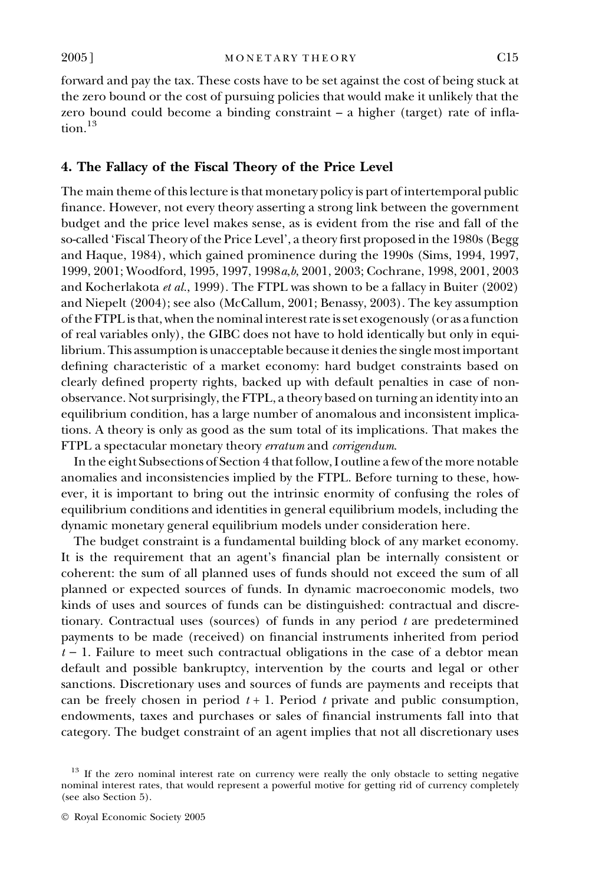forward and pay the tax. These costs have to be set against the cost of being stuck at the zero bound or the cost of pursuing policies that would make it unlikely that the zero bound could become a binding constraint – a higher (target) rate of inflation.<sup>13</sup>

# 4. The Fallacy of the Fiscal Theory of the Price Level

The main theme of this lecture is that monetary policy is part of intertemporal public finance. However, not every theory asserting a strong link between the government budget and the price level makes sense, as is evident from the rise and fall of the so-called 'Fiscal Theory of the Price Level', a theory first proposed in the 1980s (Begg and Haque, 1984), which gained prominence during the 1990s (Sims, 1994, 1997, 1999, 2001; Woodford, 1995, 1997, 1998a,b, 2001, 2003; Cochrane, 1998, 2001, 2003 and Kocherlakota et al., 1999). The FTPL was shown to be a fallacy in Buiter (2002) and Niepelt (2004); see also (McCallum, 2001; Benassy, 2003). The key assumption of the FTPL is that, when the nominal interest rate is set exogenously (or as a function of real variables only), the GIBC does not have to hold identically but only in equilibrium. This assumption is unacceptable because it denies the single most important defining characteristic of a market economy: hard budget constraints based on clearly defined property rights, backed up with default penalties in case of nonobservance. Not surprisingly, the FTPL, a theory based on turning an identity into an equilibrium condition, has a large number of anomalous and inconsistent implications. A theory is only as good as the sum total of its implications. That makes the FTPL a spectacular monetary theory erratum and corrigendum.

In the eight Subsections of Section 4 that follow, I outline a few of the more notable anomalies and inconsistencies implied by the FTPL. Before turning to these, however, it is important to bring out the intrinsic enormity of confusing the roles of equilibrium conditions and identities in general equilibrium models, including the dynamic monetary general equilibrium models under consideration here.

The budget constraint is a fundamental building block of any market economy. It is the requirement that an agent's financial plan be internally consistent or coherent: the sum of all planned uses of funds should not exceed the sum of all planned or expected sources of funds. In dynamic macroeconomic models, two kinds of uses and sources of funds can be distinguished: contractual and discretionary. Contractual uses (sources) of funds in any period  $t$  are predetermined payments to be made (received) on financial instruments inherited from period  $t - 1$ . Failure to meet such contractual obligations in the case of a debtor mean default and possible bankruptcy, intervention by the courts and legal or other sanctions. Discretionary uses and sources of funds are payments and receipts that can be freely chosen in period  $t + 1$ . Period t private and public consumption, endowments, taxes and purchases or sales of financial instruments fall into that category. The budget constraint of an agent implies that not all discretionary uses

<sup>&</sup>lt;sup>13</sup> If the zero nominal interest rate on currency were really the only obstacle to setting negative nominal interest rates, that would represent a powerful motive for getting rid of currency completely (see also Section 5).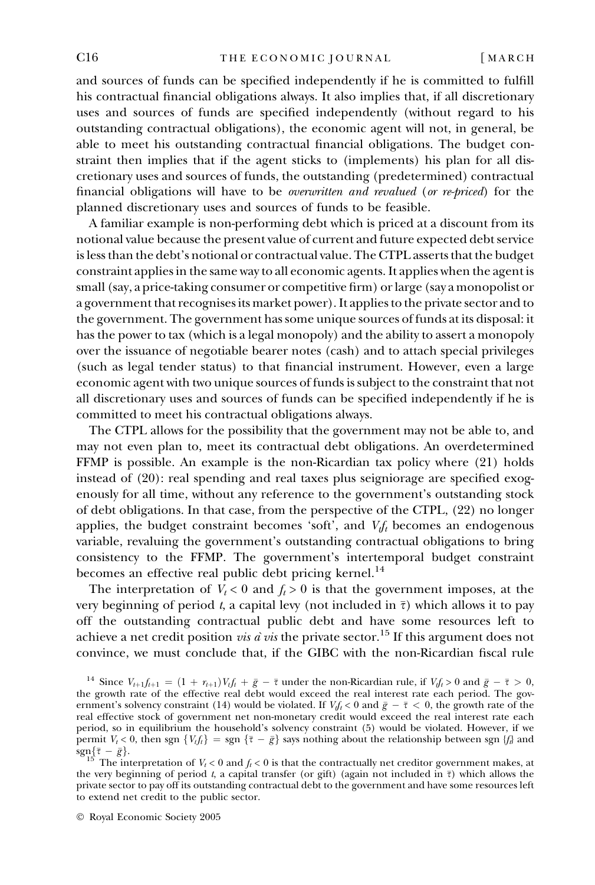and sources of funds can be specified independently if he is committed to fulfill his contractual financial obligations always. It also implies that, if all discretionary uses and sources of funds are specified independently (without regard to his outstanding contractual obligations), the economic agent will not, in general, be able to meet his outstanding contractual financial obligations. The budget constraint then implies that if the agent sticks to (implements) his plan for all discretionary uses and sources of funds, the outstanding (predetermined) contractual financial obligations will have to be overwritten and revalued (or re-priced) for the planned discretionary uses and sources of funds to be feasible.

A familiar example is non-performing debt which is priced at a discount from its notional value because the present value of current and future expected debt service is less than the debt's notional or contractual value. The CTPL asserts that the budget constraint applies in the same way to all economic agents. It applies when the agent is small (say, a price-taking consumer or competitive firm) or large (say a monopolist or a government that recognises its market power). It applies to the private sector and to the government. The government has some unique sources of funds at its disposal: it has the power to tax (which is a legal monopoly) and the ability to assert a monopoly over the issuance of negotiable bearer notes (cash) and to attach special privileges (such as legal tender status) to that financial instrument. However, even a large economic agent with two unique sources of funds is subject to the constraint that not all discretionary uses and sources of funds can be specified independently if he is committed to meet his contractual obligations always.

The CTPL allows for the possibility that the government may not be able to, and may not even plan to, meet its contractual debt obligations. An overdetermined FFMP is possible. An example is the non-Ricardian tax policy where (21) holds instead of (20): real spending and real taxes plus seigniorage are specified exogenously for all time, without any reference to the government's outstanding stock of debt obligations. In that case, from the perspective of the CTPL, (22) no longer applies, the budget constraint becomes 'soft', and  $V_{th}$  becomes an endogenous variable, revaluing the government's outstanding contractual obligations to bring consistency to the FFMP. The government's intertemporal budget constraint becomes an effective real public debt pricing kernel. $^{14}$ 

The interpretation of  $V_t < 0$  and  $f_t > 0$  is that the government imposes, at the very beginning of period t, a capital levy (not included in  $\bar{\tau}$ ) which allows it to pay off the outstanding contractual public debt and have some resources left to achieve a net credit position *vis a* vis the private sector.<sup>15</sup> If this argument does not convince, we must conclude that, if the GIBC with the non-Ricardian fiscal rule

<sup>&</sup>lt;sup>14</sup> Since  $V_{t+1}f_{t+1} = (1 + r_{t+1})V_tf_t + \bar{g} - \bar{\tau}$  under the non-Ricardian rule, if  $V_{t}f_t > 0$  and  $\bar{g} - \bar{\tau} > 0$ , the growth rate of the effective real debt would exceed the real interest rate each period. The government's solvency constraint (14) would be violated. If  $V_{tf} < 0$  and  $\bar{g} - \bar{\tau} < 0$ , the growth rate of the real effective stock of government net non-monetary credit would exceed the real interest rate each period, so in equilibrium the household's solvency constraint (5) would be violated. However, if we permit  $V_t < 0$ , then sgn  $\{V_t f_t\} = \text{sgn } \{\bar{\tau} - \bar{g}\}$  says nothing about the relationship between sgn  $\{f_t\}$  and  $sgn\{\bar{\tau}-\bar{g}\}.$ 

<sup>&</sup>lt;sup>15</sup> The interpretation of  $V_t < 0$  and  $f_t < 0$  is that the contractually net creditor government makes, at the very beginning of period t, a capital transfer (or gift) (again not included in  $\bar{\tau}$ ) which allows the private sector to pay off its outstanding contractual debt to the government and have some resources left to extend net credit to the public sector.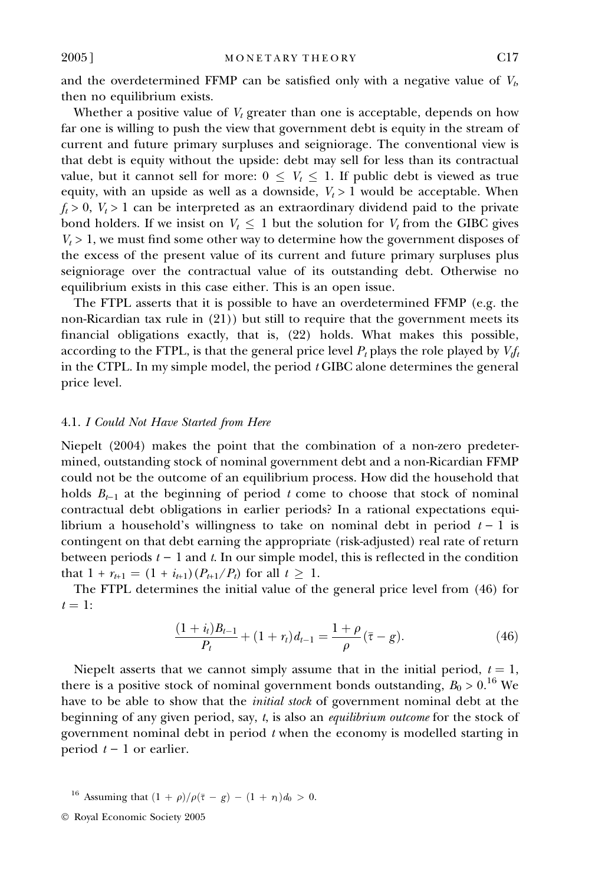and the overdetermined FFMP can be satisfied only with a negative value of  $V<sub>b</sub>$ then no equilibrium exists.

Whether a positive value of  $V_t$  greater than one is acceptable, depends on how far one is willing to push the view that government debt is equity in the stream of current and future primary surpluses and seigniorage. The conventional view is that debt is equity without the upside: debt may sell for less than its contractual value, but it cannot sell for more:  $0 \leq V_t \leq 1$ . If public debt is viewed as true equity, with an upside as well as a downside,  $V_t > 1$  would be acceptable. When  $f_t > 0$ ,  $V_t > 1$  can be interpreted as an extraordinary dividend paid to the private bond holders. If we insist on  $V_t \leq 1$  but the solution for  $V_t$  from the GIBC gives  $V_t$  > 1, we must find some other way to determine how the government disposes of the excess of the present value of its current and future primary surpluses plus seigniorage over the contractual value of its outstanding debt. Otherwise no equilibrium exists in this case either. This is an open issue.

The FTPL asserts that it is possible to have an overdetermined FFMP (e.g. the non-Ricardian tax rule in (21)) but still to require that the government meets its financial obligations exactly, that is, (22) holds. What makes this possible, according to the FTPL, is that the general price level  $P_t$  plays the role played by  $V_{tft}$ in the CTPL. In my simple model, the period  $t$  GIBC alone determines the general price level.

## 4.1. I Could Not Have Started from Here

Niepelt (2004) makes the point that the combination of a non-zero predetermined, outstanding stock of nominal government debt and a non-Ricardian FFMP could not be the outcome of an equilibrium process. How did the household that holds  $B_{t-1}$  at the beginning of period t come to choose that stock of nominal contractual debt obligations in earlier periods? In a rational expectations equilibrium a household's willingness to take on nominal debt in period  $t - 1$  is contingent on that debt earning the appropriate (risk-adjusted) real rate of return between periods  $t - 1$  and  $t$ . In our simple model, this is reflected in the condition that  $1 + r_{t+1} = (1 + i_{t+1})(P_{t+1}/P_t)$  for all  $t \geq 1$ .

The FTPL determines the initial value of the general price level from (46) for  $t = 1$ :

$$
\frac{(1+i_l)B_{l-1}}{P_t} + (1+r_l)d_{t-1} = \frac{1+\rho}{\rho}(\bar{\tau}-g). \tag{46}
$$

Niepelt asserts that we cannot simply assume that in the initial period,  $t = 1$ , there is a positive stock of nominal government bonds outstanding,  $B_0 > 0.16$  We have to be able to show that the initial stock of government nominal debt at the beginning of any given period, say, t, is also an equilibrium outcome for the stock of government nominal debt in period  $t$  when the economy is modelled starting in period  $t - 1$  or earlier.

<sup>16</sup> Assuming that  $(1 + \rho)/\rho(\bar{\tau} - g) - (1 + r_1)d_0 > 0$ .

 $©$  Royal Economic Society 2005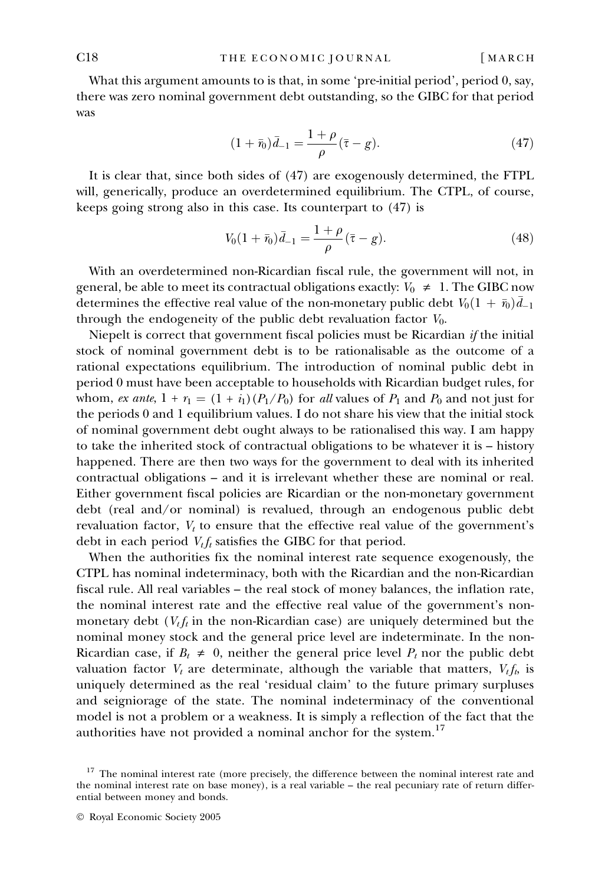What this argument amounts to is that, in some 'pre-initial period', period 0, say, there was zero nominal government debt outstanding, so the GIBC for that period was

$$
(1 + \bar{r}_0)\bar{d}_{-1} = \frac{1 + \rho}{\rho}(\bar{\tau} - g). \tag{47}
$$

It is clear that, since both sides of (47) are exogenously determined, the FTPL will, generically, produce an overdetermined equilibrium. The CTPL, of course, keeps going strong also in this case. Its counterpart to (47) is

$$
V_0(1+\bar{\eta}_0)\bar{d}_{-1} = \frac{1+\rho}{\rho}(\bar{\tau}-g). \tag{48}
$$

With an overdetermined non-Ricardian fiscal rule, the government will not, in general, be able to meet its contractual obligations exactly:  $V_0 \neq 1$ . The GIBC now determines the effective real value of the non-monetary public debt  $V_0(1 + \bar{r}_0)\bar{d}_{-1}$ through the endogeneity of the public debt revaluation factor  $V_0$ .

Niepelt is correct that government fiscal policies must be Ricardian if the initial stock of nominal government debt is to be rationalisable as the outcome of a rational expectations equilibrium. The introduction of nominal public debt in period 0 must have been acceptable to households with Ricardian budget rules, for whom, ex ante,  $1 + r_1 = (1 + i_1)(P_1/P_0)$  for all values of  $P_1$  and  $P_0$  and not just for the periods 0 and 1 equilibrium values. I do not share his view that the initial stock of nominal government debt ought always to be rationalised this way. I am happy to take the inherited stock of contractual obligations to be whatever it is – history happened. There are then two ways for the government to deal with its inherited contractual obligations – and it is irrelevant whether these are nominal or real. Either government fiscal policies are Ricardian or the non-monetary government debt (real and/or nominal) is revalued, through an endogenous public debt revaluation factor,  $V_t$  to ensure that the effective real value of the government's debt in each period  $V_t f_t$  satisfies the GIBC for that period.

When the authorities fix the nominal interest rate sequence exogenously, the CTPL has nominal indeterminacy, both with the Ricardian and the non-Ricardian fiscal rule. All real variables – the real stock of money balances, the inflation rate, the nominal interest rate and the effective real value of the government's nonmonetary debt ( $V_t f_t$  in the non-Ricardian case) are uniquely determined but the nominal money stock and the general price level are indeterminate. In the non-Ricardian case, if  $B_t \neq 0$ , neither the general price level  $P_t$  nor the public debt valuation factor  $V_t$  are determinate, although the variable that matters,  $V_t f_b$  is uniquely determined as the real 'residual claim' to the future primary surpluses and seigniorage of the state. The nominal indeterminacy of the conventional model is not a problem or a weakness. It is simply a reflection of the fact that the authorities have not provided a nominal anchor for the system.<sup>17</sup>

<sup>&</sup>lt;sup>17</sup> The nominal interest rate (more precisely, the difference between the nominal interest rate and the nominal interest rate on base money), is a real variable – the real pecuniary rate of return differential between money and bonds.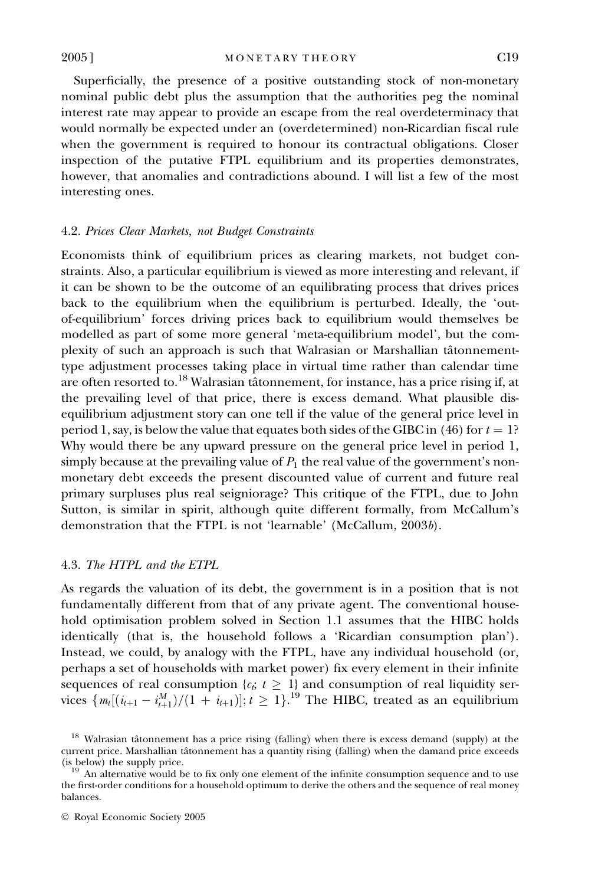Superficially, the presence of a positive outstanding stock of non-monetary nominal public debt plus the assumption that the authorities peg the nominal interest rate may appear to provide an escape from the real overdeterminacy that would normally be expected under an (overdetermined) non-Ricardian fiscal rule when the government is required to honour its contractual obligations. Closer inspection of the putative FTPL equilibrium and its properties demonstrates, however, that anomalies and contradictions abound. I will list a few of the most interesting ones.

### 4.2. Prices Clear Markets, not Budget Constraints

Economists think of equilibrium prices as clearing markets, not budget constraints. Also, a particular equilibrium is viewed as more interesting and relevant, if it can be shown to be the outcome of an equilibrating process that drives prices back to the equilibrium when the equilibrium is perturbed. Ideally, the 'outof-equilibrium' forces driving prices back to equilibrium would themselves be modelled as part of some more general 'meta-equilibrium model', but the complexity of such an approach is such that Walrasian or Marshallian tâtonnementtype adjustment processes taking place in virtual time rather than calendar time are often resorted to.<sup>18</sup> Walrasian tâtonnement, for instance, has a price rising if, at are often resorted to.<sup>18</sup> the prevailing level of that price, there is excess demand. What plausible disequilibrium adjustment story can one tell if the value of the general price level in period 1, say, is below the value that equates both sides of the GIBC in (46) for  $t = 1$ ? Why would there be any upward pressure on the general price level in period 1, simply because at the prevailing value of  $P_1$  the real value of the government's nonmonetary debt exceeds the present discounted value of current and future real primary surpluses plus real seigniorage? This critique of the FTPL, due to John Sutton, is similar in spirit, although quite different formally, from McCallum's demonstration that the FTPL is not 'learnable' (McCallum, 2003b).

#### 4.3. The HTPL and the ETPL

As regards the valuation of its debt, the government is in a position that is not fundamentally different from that of any private agent. The conventional household optimisation problem solved in Section 1.1 assumes that the HIBC holds identically (that is, the household follows a 'Ricardian consumption plan'). Instead, we could, by analogy with the FTPL, have any individual household (or, perhaps a set of households with market power) fix every element in their infinite sequences of real consumption  $\{c_i; t \geq 1\}$  and consumption of real liquidity services  $\{m_t[(i_{t+1} - i_{t+1}^M)/(1 + i_{t+1})]; t \geq 1\}$ .<sup>19</sup> The HIBC, treated as an equilibrium

<sup>&</sup>lt;sup>18</sup> Walrasian tâtonnement has a price rising (falling) when there is excess demand (supply) at the current price. Marshallian tâtonnement has a quantity rising (falling) when the damand price exceeds (is below) the supply price.

 $19$  An alternative would be to fix only one element of the infinite consumption sequence and to use the first-order conditions for a household optimum to derive the others and the sequence of real money balances.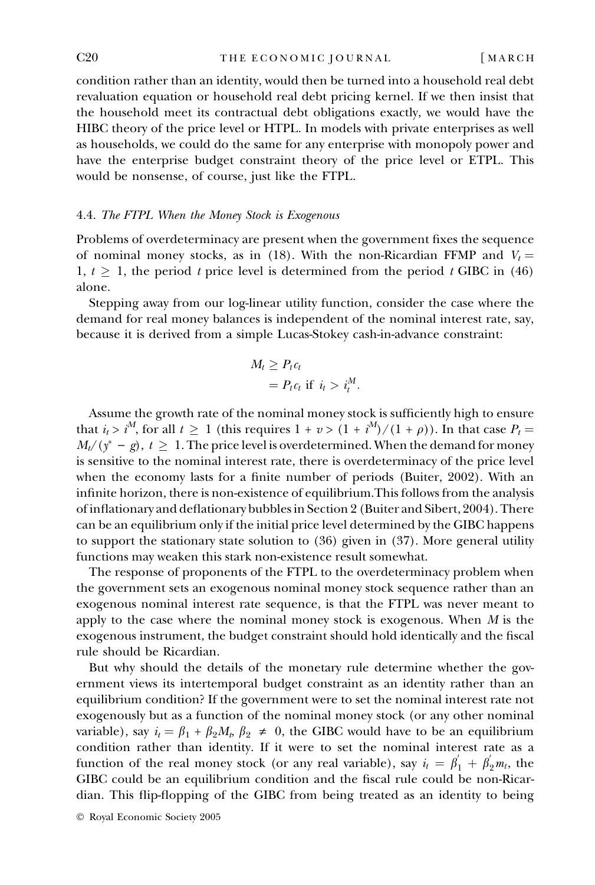C20 THE ECONOMIC JOURNAL MARCH

condition rather than an identity, would then be turned into a household real debt revaluation equation or household real debt pricing kernel. If we then insist that the household meet its contractual debt obligations exactly, we would have the HIBC theory of the price level or HTPL. In models with private enterprises as well as households, we could do the same for any enterprise with monopoly power and have the enterprise budget constraint theory of the price level or ETPL. This would be nonsense, of course, just like the FTPL.

#### 4.4. The FTPL When the Money Stock is Exogenous

Problems of overdeterminacy are present when the government fixes the sequence of nominal money stocks, as in (18). With the non-Ricardian FFMP and  $V_t =$ 1,  $t \geq 1$ , the period t price level is determined from the period t GIBC in (46) alone.

Stepping away from our log-linear utility function, consider the case where the demand for real money balances is independent of the nominal interest rate, say, because it is derived from a simple Lucas-Stokey cash-in-advance constraint:

$$
M_t \ge P_t c_t
$$
  
=  $P_t c_t$  if  $i_t > i_t^M$ .

Assume the growth rate of the nominal money stock is sufficiently high to ensure that  $i_t > i^M$ , for all  $t \geq 1$  (this requires  $1 + v > (1 + i^M)/(1 + \rho)$ ). In that case  $P_t =$  $M_t/(y^* - g), t \ge 1$ . The price level is overdetermined. When the demand for money is sensitive to the nominal interest rate, there is overdeterminacy of the price level when the economy lasts for a finite number of periods (Buiter, 2002). With an infinite horizon, there is non-existence of equilibrium.This follows from the analysis of inflationary and deflationary bubbles in Section 2 (Buiter and Sibert, 2004). There can be an equilibrium only if the initial price level determined by the GIBC happens to support the stationary state solution to (36) given in (37). More general utility functions may weaken this stark non-existence result somewhat.

The response of proponents of the FTPL to the overdeterminacy problem when the government sets an exogenous nominal money stock sequence rather than an exogenous nominal interest rate sequence, is that the FTPL was never meant to apply to the case where the nominal money stock is exogenous. When  $M$  is the exogenous instrument, the budget constraint should hold identically and the fiscal rule should be Ricardian.

But why should the details of the monetary rule determine whether the government views its intertemporal budget constraint as an identity rather than an equilibrium condition? If the government were to set the nominal interest rate not exogenously but as a function of the nominal money stock (or any other nominal variable), say  $i_t = \beta_1 + \beta_2 M_t$ ,  $\beta_2 \neq 0$ , the GIBC would have to be an equilibrium condition rather than identity. If it were to set the nominal interest rate as a function of the real money stock (or any real variable), say  $i_t = \beta'_1 + \beta'_2 m_t$ , the GIBC could be an equilibrium condition and the fiscal rule could be non-Ricardian. This flip-flopping of the GIBC from being treated as an identity to being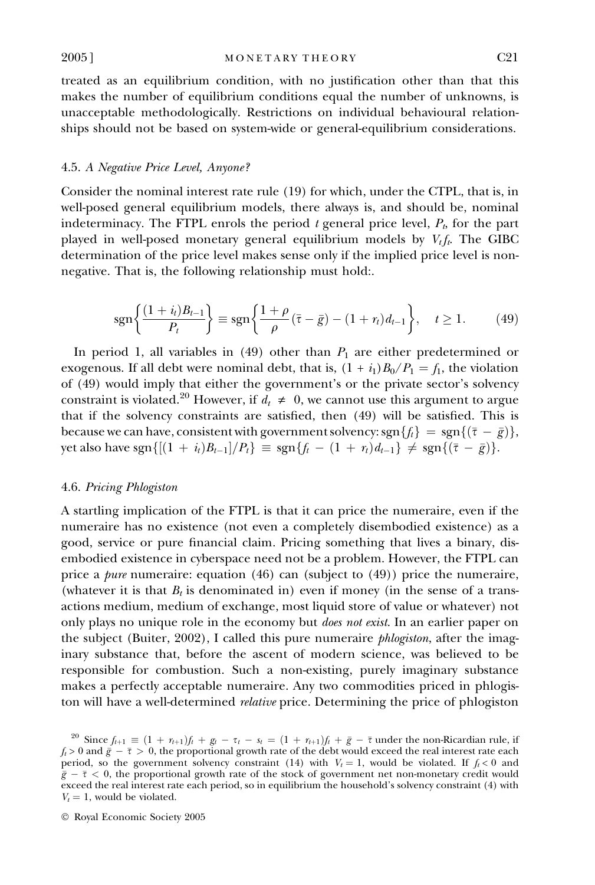treated as an equilibrium condition, with no justification other than that this makes the number of equilibrium conditions equal the number of unknowns, is unacceptable methodologically. Restrictions on individual behavioural relationships should not be based on system-wide or general-equilibrium considerations.

### 4.5. A Negative Price Level, Anyone?

Consider the nominal interest rate rule (19) for which, under the CTPL, that is, in well-posed general equilibrium models, there always is, and should be, nominal indeterminacy. The FTPL enrols the period  $t$  general price level,  $P<sub>t</sub>$ , for the part played in well-posed monetary general equilibrium models by  $V_t f_t$ . The GIBC determination of the price level makes sense only if the implied price level is nonnegative. That is, the following relationship must hold:.

$$
\text{sgn}\left\{\frac{(1+i_t)B_{t-1}}{P_t}\right\} \equiv \text{sgn}\left\{\frac{1+\rho}{\rho}(\bar{\tau}-\bar{g}) - (1+\eta_t)d_{t-1}\right\}, \quad t \ge 1. \tag{49}
$$

In period 1, all variables in  $(49)$  other than  $P_1$  are either predetermined or exogenous. If all debt were nominal debt, that is,  $(1 + i_1)B_0/P_1 = f_1$ , the violation of (49) would imply that either the government's or the private sector's solvency constraint is violated.<sup>20</sup> However, if  $d_t \neq 0$ , we cannot use this argument to argue that if the solvency constraints are satisfied, then (49) will be satisfied. This is because we can have, consistent with government solvency:  $\text{sgn}\{f_t\} = \text{sgn}\{(\bar{\tau} - \bar{g})\},$ yet also have  $\text{sgn}\{[(1 + i_t)B_{t-1}]/P_t\} \equiv \text{sgn}\{f_t - (1 + r_t)d_{t-1}\} \neq \text{sgn}\{(\bar{\tau} - \bar{g})\}.$ 

### 4.6. Pricing Phlogiston

A startling implication of the FTPL is that it can price the numeraire, even if the numeraire has no existence (not even a completely disembodied existence) as a good, service or pure financial claim. Pricing something that lives a binary, disembodied existence in cyberspace need not be a problem. However, the FTPL can price a *pure* numeraire: equation (46) can (subject to (49)) price the numeraire, (whatever it is that  $B_t$  is denominated in) even if money (in the sense of a transactions medium, medium of exchange, most liquid store of value or whatever) not only plays no unique role in the economy but does not exist. In an earlier paper on the subject (Buiter, 2002), I called this pure numeraire phlogiston, after the imaginary substance that, before the ascent of modern science, was believed to be responsible for combustion. Such a non-existing, purely imaginary substance makes a perfectly acceptable numeraire. Any two commodities priced in phlogiston will have a well-determined *relative* price. Determining the price of phlogiston

<sup>&</sup>lt;sup>20</sup> Since  $f_{t+1} \equiv (1 + r_{t+1})f_t + g_t - r_t - s_t = (1 + r_{t+1})f_t + \bar{g} - \bar{\tau}$  under the non-Ricardian rule, if  $f_t$  > 0 and  $\bar{g} - \bar{\tau}$  > 0, the proportional growth rate of the debt would exceed the real interest rate each period, so the government solvency constraint (14) with  $V_t = 1$ , would be violated. If  $f_t < 0$  and  $\bar{g}$  –  $\bar{\tau}$  < 0, the proportional growth rate of the stock of government net non-monetary credit would exceed the real interest rate each period, so in equilibrium the household's solvency constraint (4) with  $V_t = 1$ , would be violated.

Royal Economic Society 2005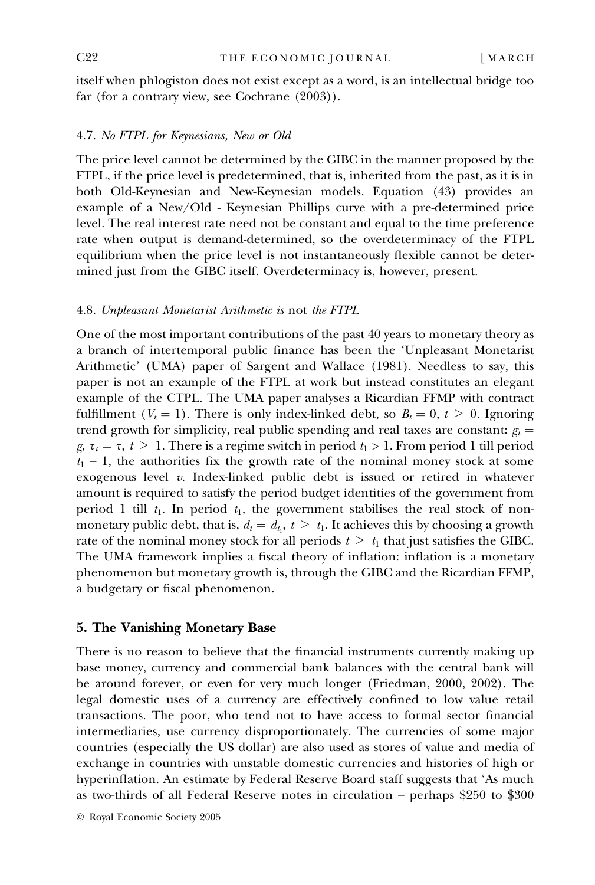itself when phlogiston does not exist except as a word, is an intellectual bridge too far (for a contrary view, see Cochrane (2003)).

# 4.7. No FTPL for Keynesians, New or Old

The price level cannot be determined by the GIBC in the manner proposed by the FTPL, if the price level is predetermined, that is, inherited from the past, as it is in both Old-Keynesian and New-Keynesian models. Equation (43) provides an example of a New/Old - Keynesian Phillips curve with a pre-determined price level. The real interest rate need not be constant and equal to the time preference rate when output is demand-determined, so the overdeterminacy of the FTPL equilibrium when the price level is not instantaneously flexible cannot be determined just from the GIBC itself. Overdeterminacy is, however, present.

## 4.8. Unpleasant Monetarist Arithmetic is not the FTPL

One of the most important contributions of the past 40 years to monetary theory as a branch of intertemporal public finance has been the 'Unpleasant Monetarist Arithmetic' (UMA) paper of Sargent and Wallace (1981). Needless to say, this paper is not an example of the FTPL at work but instead constitutes an elegant example of the CTPL. The UMA paper analyses a Ricardian FFMP with contract fulfillment ( $V_t = 1$ ). There is only index-linked debt, so  $B_t = 0$ ,  $t \ge 0$ . Ignoring trend growth for simplicity, real public spending and real taxes are constant:  $g_t$  =  $g, \tau_t = \tau, t \geq 1$ . There is a regime switch in period  $t_1 > 1$ . From period 1 till period  $t_1 - 1$ , the authorities fix the growth rate of the nominal money stock at some exogenous level v. Index-linked public debt is issued or retired in whatever amount is required to satisfy the period budget identities of the government from period 1 till  $t_1$ . In period  $t_1$ , the government stabilises the real stock of nonmonetary public debt, that is,  $d_t = d_{t_1}, t \geq t_1$ . It achieves this by choosing a growth rate of the nominal money stock for all periods  $t \geq t_1$  that just satisfies the GIBC. The UMA framework implies a fiscal theory of inflation: inflation is a monetary phenomenon but monetary growth is, through the GIBC and the Ricardian FFMP, a budgetary or fiscal phenomenon.

# 5. The Vanishing Monetary Base

There is no reason to believe that the financial instruments currently making up base money, currency and commercial bank balances with the central bank will be around forever, or even for very much longer (Friedman, 2000, 2002). The legal domestic uses of a currency are effectively confined to low value retail transactions. The poor, who tend not to have access to formal sector financial intermediaries, use currency disproportionately. The currencies of some major countries (especially the US dollar) are also used as stores of value and media of exchange in countries with unstable domestic currencies and histories of high or hyperinflation. An estimate by Federal Reserve Board staff suggests that 'As much as two-thirds of all Federal Reserve notes in circulation – perhaps \$250 to \$300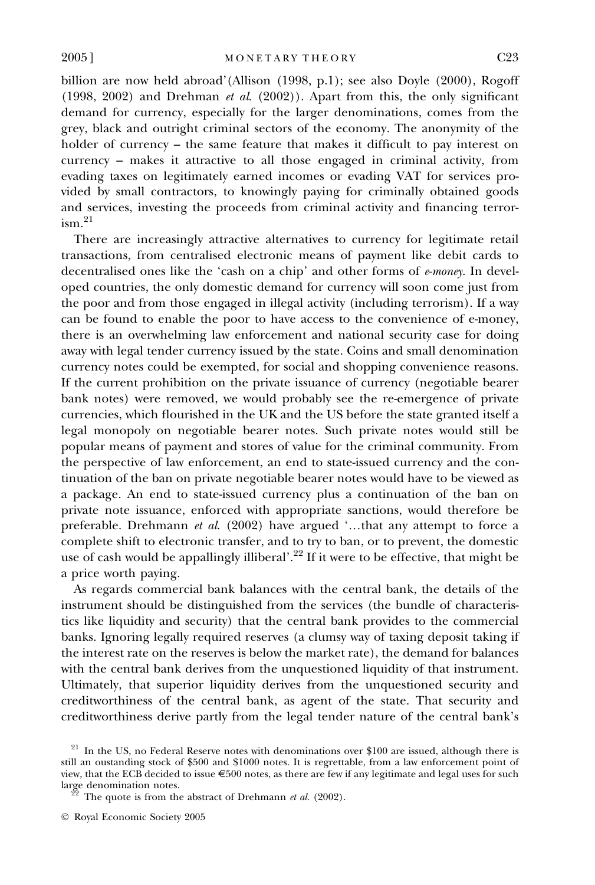billion are now held abroad'(Allison (1998, p.1); see also Doyle (2000), Rogoff (1998, 2002) and Drehman et al. (2002)). Apart from this, the only significant demand for currency, especially for the larger denominations, comes from the grey, black and outright criminal sectors of the economy. The anonymity of the holder of currency – the same feature that makes it difficult to pay interest on currency – makes it attractive to all those engaged in criminal activity, from evading taxes on legitimately earned incomes or evading VAT for services provided by small contractors, to knowingly paying for criminally obtained goods and services, investing the proceeds from criminal activity and financing terrorism.<sup>21</sup>

There are increasingly attractive alternatives to currency for legitimate retail transactions, from centralised electronic means of payment like debit cards to decentralised ones like the 'cash on a chip' and other forms of e-money. In developed countries, the only domestic demand for currency will soon come just from the poor and from those engaged in illegal activity (including terrorism). If a way can be found to enable the poor to have access to the convenience of e-money, there is an overwhelming law enforcement and national security case for doing away with legal tender currency issued by the state. Coins and small denomination currency notes could be exempted, for social and shopping convenience reasons. If the current prohibition on the private issuance of currency (negotiable bearer bank notes) were removed, we would probably see the re-emergence of private currencies, which flourished in the UK and the US before the state granted itself a legal monopoly on negotiable bearer notes. Such private notes would still be popular means of payment and stores of value for the criminal community. From the perspective of law enforcement, an end to state-issued currency and the continuation of the ban on private negotiable bearer notes would have to be viewed as a package. An end to state-issued currency plus a continuation of the ban on private note issuance, enforced with appropriate sanctions, would therefore be preferable. Drehmann et al. (2002) have argued '…that any attempt to force a complete shift to electronic transfer, and to try to ban, or to prevent, the domestic use of cash would be appallingly illiberal'. $^{22}$  If it were to be effective, that might be a price worth paying.

As regards commercial bank balances with the central bank, the details of the instrument should be distinguished from the services (the bundle of characteristics like liquidity and security) that the central bank provides to the commercial banks. Ignoring legally required reserves (a clumsy way of taxing deposit taking if the interest rate on the reserves is below the market rate), the demand for balances with the central bank derives from the unquestioned liquidity of that instrument. Ultimately, that superior liquidity derives from the unquestioned security and creditworthiness of the central bank, as agent of the state. That security and creditworthiness derive partly from the legal tender nature of the central bank's

 $21$  In the US, no Federal Reserve notes with denominations over \$100 are issued, although there is still an oustanding stock of \$500 and \$1000 notes. It is regrettable, from a law enforcement point of view, that the ECB decided to issue *e*500 notes, as there are few if any legitimate and legal uses for such large denomination notes.<br> $\frac{22}{22}$  The quote is from the abstract of Drehmann *et al.* (2002).

Royal Economic Society 2005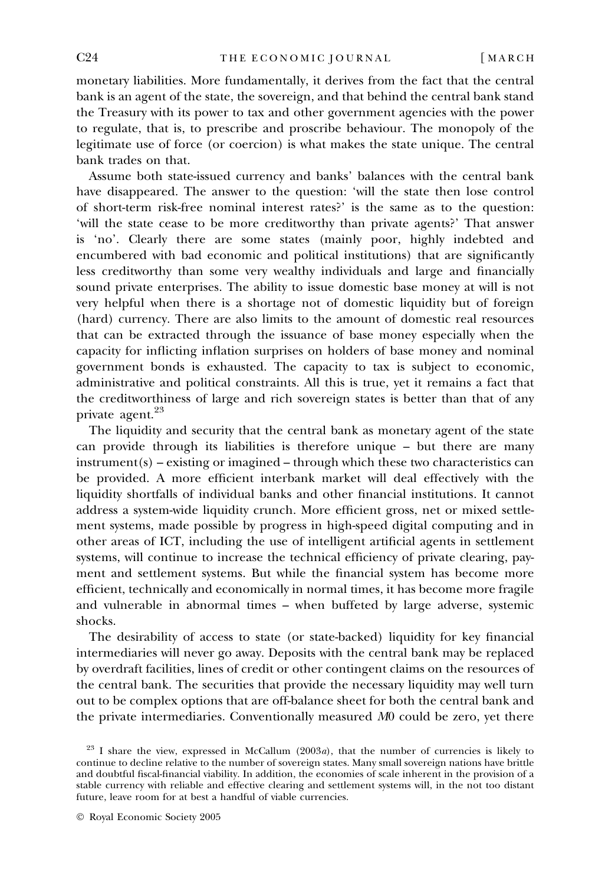monetary liabilities. More fundamentally, it derives from the fact that the central bank is an agent of the state, the sovereign, and that behind the central bank stand the Treasury with its power to tax and other government agencies with the power to regulate, that is, to prescribe and proscribe behaviour. The monopoly of the legitimate use of force (or coercion) is what makes the state unique. The central bank trades on that.

Assume both state-issued currency and banks' balances with the central bank have disappeared. The answer to the question: 'will the state then lose control of short-term risk-free nominal interest rates?' is the same as to the question: 'will the state cease to be more creditworthy than private agents?' That answer is 'no'. Clearly there are some states (mainly poor, highly indebted and encumbered with bad economic and political institutions) that are significantly less creditworthy than some very wealthy individuals and large and financially sound private enterprises. The ability to issue domestic base money at will is not very helpful when there is a shortage not of domestic liquidity but of foreign (hard) currency. There are also limits to the amount of domestic real resources that can be extracted through the issuance of base money especially when the capacity for inflicting inflation surprises on holders of base money and nominal government bonds is exhausted. The capacity to tax is subject to economic, administrative and political constraints. All this is true, yet it remains a fact that the creditworthiness of large and rich sovereign states is better than that of any private agent.<sup>23</sup>

The liquidity and security that the central bank as monetary agent of the state can provide through its liabilities is therefore unique – but there are many instrument(s) – existing or imagined – through which these two characteristics can be provided. A more efficient interbank market will deal effectively with the liquidity shortfalls of individual banks and other financial institutions. It cannot address a system-wide liquidity crunch. More efficient gross, net or mixed settlement systems, made possible by progress in high-speed digital computing and in other areas of ICT, including the use of intelligent artificial agents in settlement systems, will continue to increase the technical efficiency of private clearing, payment and settlement systems. But while the financial system has become more efficient, technically and economically in normal times, it has become more fragile and vulnerable in abnormal times – when buffeted by large adverse, systemic shocks.

The desirability of access to state (or state-backed) liquidity for key financial intermediaries will never go away. Deposits with the central bank may be replaced by overdraft facilities, lines of credit or other contingent claims on the resources of the central bank. The securities that provide the necessary liquidity may well turn out to be complex options that are off-balance sheet for both the central bank and the private intermediaries. Conventionally measured M0 could be zero, yet there

 $23$  I share the view, expressed in McCallum (2003a), that the number of currencies is likely to continue to decline relative to the number of sovereign states. Many small sovereign nations have brittle and doubtful fiscal-financial viability. In addition, the economies of scale inherent in the provision of a stable currency with reliable and effective clearing and settlement systems will, in the not too distant future, leave room for at best a handful of viable currencies.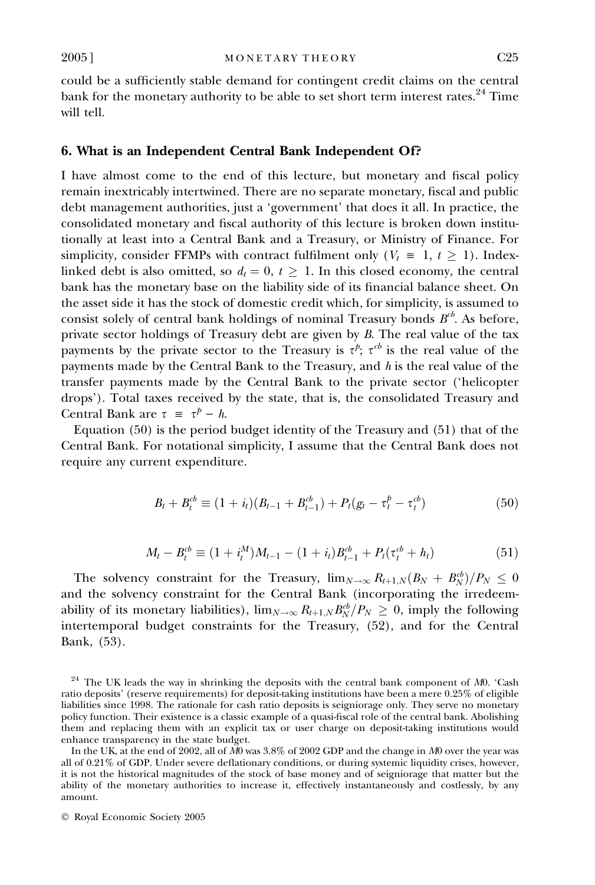could be a sufficiently stable demand for contingent credit claims on the central bank for the monetary authority to be able to set short term interest rates.<sup>24</sup> Time will tell.

# 6. What is an Independent Central Bank Independent Of?

I have almost come to the end of this lecture, but monetary and fiscal policy remain inextricably intertwined. There are no separate monetary, fiscal and public debt management authorities, just a 'government' that does it all. In practice, the consolidated monetary and fiscal authority of this lecture is broken down institutionally at least into a Central Bank and a Treasury, or Ministry of Finance. For simplicity, consider FFMPs with contract fulfilment only ( $V_t \equiv 1, t \ge 1$ ). Indexlinked debt is also omitted, so  $d_t = 0$ ,  $t \geq 1$ . In this closed economy, the central bank has the monetary base on the liability side of its financial balance sheet. On the asset side it has the stock of domestic credit which, for simplicity, is assumed to consist solely of central bank holdings of nominal Treasury bonds  $B^{cb}$ . As before, private sector holdings of Treasury debt are given by  $B$ . The real value of the tax payments by the private sector to the Treasury is  $\tau^{\rho}$ ;  $\tau^{cb}$  is the real value of the payments made by the Central Bank to the Treasury, and  $h$  is the real value of the transfer payments made by the Central Bank to the private sector ('helicopter drops'). Total taxes received by the state, that is, the consolidated Treasury and Central Bank are  $\tau \equiv \tau^p - h$ .

Equation (50) is the period budget identity of the Treasury and (51) that of the Central Bank. For notational simplicity, I assume that the Central Bank does not require any current expenditure.

$$
B_t + B_t^{cb} \equiv (1 + i_t)(B_{t-1} + B_{t-1}^{cb}) + P_t(g_t - \tau_t^b - \tau_t^{cb})
$$
\n(50)

$$
M_t - B_t^{cb} \equiv (1 + i_t^M)M_{t-1} - (1 + i_t)B_{t-1}^{cb} + P_t(\tau_t^{cb} + h_t)
$$
\n(51)

The solvency constraint for the Treasury,  $\lim_{N\to\infty} R_{t+1,N} (B_N + B_N^{cb})/P_N \leq 0$ and the solvency constraint for the Central Bank (incorporating the irredeemability of its monetary liabilities),  $\lim_{N\to\infty} R_{t+1,N} B_N^{cb}/P_N \geq 0$ , imply the following intertemporal budget constraints for the Treasury, (52), and for the Central Bank, (53).

 $24$  The UK leads the way in shrinking the deposits with the central bank component of M0. 'Cash ratio deposits' (reserve requirements) for deposit-taking institutions have been a mere 0.25% of eligible liabilities since 1998. The rationale for cash ratio deposits is seigniorage only. They serve no monetary policy function. Their existence is a classic example of a quasi-fiscal role of the central bank. Abolishing them and replacing them with an explicit tax or user charge on deposit-taking institutions would enhance transparency in the state budget.

In the UK, at the end of 2002, all of M0 was 3.8% of 2002 GDP and the change in M0 over the year was all of 0.21% of GDP. Under severe deflationary conditions, or during systemic liquidity crises, however, it is not the historical magnitudes of the stock of base money and of seigniorage that matter but the ability of the monetary authorities to increase it, effectively instantaneously and costlessly, by any amount.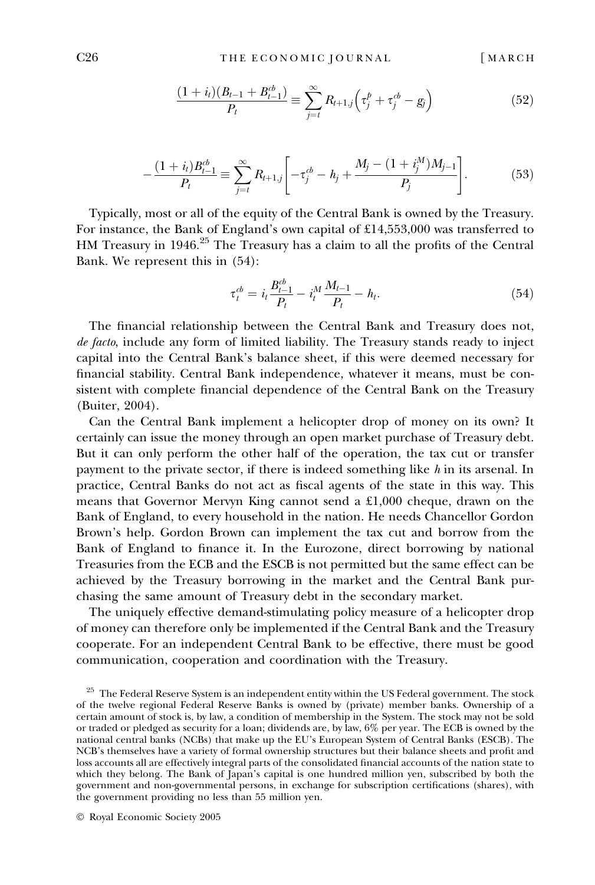$$
\frac{(1+i_{i})(B_{t-1}+B_{t-1}^{cb})}{P_{t}} \equiv \sum_{j=t}^{\infty} R_{t+1,j} \left(\tau_{j}^{p} + \tau_{j}^{cb} - g_{j}\right)
$$
(52)

$$
-\frac{(1+i_l)B_{t-1}^{cb}}{P_t} \equiv \sum_{j=t}^{\infty} R_{t+1,j} \left[ -\tau_j^{cb} - h_j + \frac{M_j - (1+i_j^M)M_{j-1}}{P_j} \right].
$$
 (53)

Typically, most or all of the equity of the Central Bank is owned by the Treasury. For instance, the Bank of England's own capital of £14,553,000 was transferred to HM Treasury in 1946.<sup>25</sup> The Treasury has a claim to all the profits of the Central Bank. We represent this in (54):

$$
\tau_t^{cb} = i_t \frac{B_{t-1}^{cb}}{P_t} - i_t^M \frac{M_{t-1}}{P_t} - h_t.
$$
\n(54)

The financial relationship between the Central Bank and Treasury does not, de facto, include any form of limited liability. The Treasury stands ready to inject capital into the Central Bank's balance sheet, if this were deemed necessary for financial stability. Central Bank independence, whatever it means, must be consistent with complete financial dependence of the Central Bank on the Treasury (Buiter, 2004).

Can the Central Bank implement a helicopter drop of money on its own? It certainly can issue the money through an open market purchase of Treasury debt. But it can only perform the other half of the operation, the tax cut or transfer payment to the private sector, if there is indeed something like  $h$  in its arsenal. In practice, Central Banks do not act as fiscal agents of the state in this way. This means that Governor Mervyn King cannot send a £1,000 cheque, drawn on the Bank of England, to every household in the nation. He needs Chancellor Gordon Brown's help. Gordon Brown can implement the tax cut and borrow from the Bank of England to finance it. In the Eurozone, direct borrowing by national Treasuries from the ECB and the ESCB is not permitted but the same effect can be achieved by the Treasury borrowing in the market and the Central Bank purchasing the same amount of Treasury debt in the secondary market.

The uniquely effective demand-stimulating policy measure of a helicopter drop of money can therefore only be implemented if the Central Bank and the Treasury cooperate. For an independent Central Bank to be effective, there must be good communication, cooperation and coordination with the Treasury.

<sup>&</sup>lt;sup>25</sup> The Federal Reserve System is an independent entity within the US Federal government. The stock of the twelve regional Federal Reserve Banks is owned by (private) member banks. Ownership of a certain amount of stock is, by law, a condition of membership in the System. The stock may not be sold or traded or pledged as security for a loan; dividends are, by law, 6% per year. The ECB is owned by the national central banks (NCBs) that make up the EU's European System of Central Banks (ESCB). The NCB's themselves have a variety of formal ownership structures but their balance sheets and profit and loss accounts all are effectively integral parts of the consolidated financial accounts of the nation state to which they belong. The Bank of Japan's capital is one hundred million yen, subscribed by both the government and non-governmental persons, in exchange for subscription certifications (shares), with the government providing no less than 55 million yen.

Royal Economic Society 2005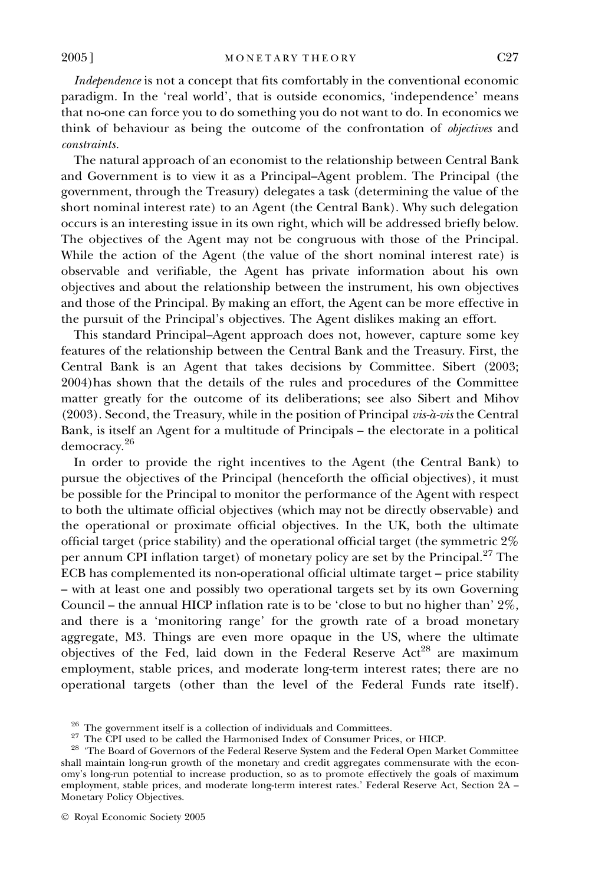Independence is not a concept that fits comfortably in the conventional economic paradigm. In the 'real world', that is outside economics, 'independence' means that no-one can force you to do something you do not want to do. In economics we think of behaviour as being the outcome of the confrontation of objectives and constraints.

The natural approach of an economist to the relationship between Central Bank and Government is to view it as a Principal–Agent problem. The Principal (the government, through the Treasury) delegates a task (determining the value of the short nominal interest rate) to an Agent (the Central Bank). Why such delegation occurs is an interesting issue in its own right, which will be addressed briefly below. The objectives of the Agent may not be congruous with those of the Principal. While the action of the Agent (the value of the short nominal interest rate) is observable and verifiable, the Agent has private information about his own objectives and about the relationship between the instrument, his own objectives and those of the Principal. By making an effort, the Agent can be more effective in the pursuit of the Principal's objectives. The Agent dislikes making an effort.

This standard Principal–Agent approach does not, however, capture some key features of the relationship between the Central Bank and the Treasury. First, the Central Bank is an Agent that takes decisions by Committee. Sibert (2003; 2004)has shown that the details of the rules and procedures of the Committee matter greatly for the outcome of its deliberations; see also Sibert and Mihov (2003). Second, the Treasury, while in the position of Principal  $vis\text{-}a\text{-}vis$  the Central Bank, is itself an Agent for a multitude of Principals – the electorate in a political democracy.<sup>26</sup>

In order to provide the right incentives to the Agent (the Central Bank) to pursue the objectives of the Principal (henceforth the official objectives), it must be possible for the Principal to monitor the performance of the Agent with respect to both the ultimate official objectives (which may not be directly observable) and the operational or proximate official objectives. In the UK, both the ultimate official target (price stability) and the operational official target (the symmetric 2% per annum CPI inflation target) of monetary policy are set by the Principal.<sup>27</sup> The ECB has complemented its non-operational official ultimate target – price stability – with at least one and possibly two operational targets set by its own Governing Council – the annual HICP inflation rate is to be 'close to but no higher than' 2%, and there is a 'monitoring range' for the growth rate of a broad monetary aggregate, M3. Things are even more opaque in the US, where the ultimate objectives of the Fed, laid down in the Federal Reserve Act<sup>28</sup> are maximum employment, stable prices, and moderate long-term interest rates; there are no operational targets (other than the level of the Federal Funds rate itself).

 $^{26}\,$  The government itself is a collection of individuals and Committees.<br> $^{27}\,$  The CPI used to be called the Harmonised Index of Consumer Prices, or HICP.<br> $^{28}\,$  'The Board of Governors of the Federal Reserve Syste shall maintain long-run growth of the monetary and credit aggregates commensurate with the economy's long-run potential to increase production, so as to promote effectively the goals of maximum employment, stable prices, and moderate long-term interest rates.' Federal Reserve Act, Section 2A – Monetary Policy Objectives.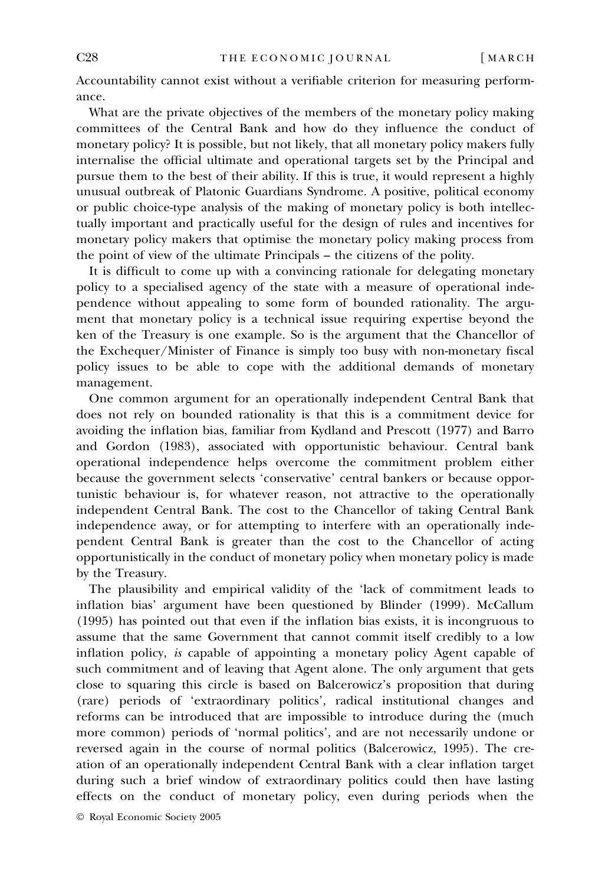Accountability cannot exist without a verifiable criterion for measuring performance.

What are the private objectives of the members of the monetary policy making committees of the Central Bank and how do they influence the conduct of monetary policy? It is possible, but not likely, that all monetary policy makers fully internalise the official ultimate and operational targets set by the Principal and pursue them to the best of their ability. If this is true, it would represent a highly unusual outbreak of Platonic Guardians Syndrome. A positive, political economy or public choice-type analysis of the making of monetary policy is both intellectually important and practically useful for the design of rules and incentives for monetary policy makers that optimise the monetary policy making process from the point of view of the ultimate Principals – the citizens of the polity.

It is difficult to come up with a convincing rationale for delegating monetary policy to a specialised agency of the state with a measure of operational independence without appealing to some form of bounded rationality. The argument that monetary policy is a technical issue requiring expertise beyond the ken of the Treasury is one example. So is the argument that the Chancellor of the Exchequer/Minister of Finance is simply too busy with non-monetary fiscal policy issues to be able to cope with the additional demands of monetary management.

One common argument for an operationally independent Central Bank that does not rely on bounded rationality is that this is a commitment device for avoiding the inflation bias, familiar from Kydland and Prescott (1977) and Barro and Gordon (1983), associated with opportunistic behaviour. Central bank operational independence helps overcome the commitment problem either because the government selects 'conservative' central bankers or because opportunistic behaviour is, for whatever reason, not attractive to the operationally independent Central Bank. The cost to the Chancellor of taking Central Bank independence away, or for attempting to interfere with an operationally independent Central Bank is greater than the cost to the Chancellor of acting opportunistically in the conduct of monetary policy when monetary policy is made by the Treasury.

The plausibility and empirical validity of the 'lack of commitment leads to inflation bias' argument have been questioned by Blinder (1999). McCallum (1995) has pointed out that even if the inflation bias exists, it is incongruous to assume that the same Government that cannot commit itself credibly to a low inflation policy, is capable of appointing a monetary policy Agent capable of such commitment and of leaving that Agent alone. The only argument that gets close to squaring this circle is based on Balcerowicz's proposition that during (rare) periods of 'extraordinary politics', radical institutional changes and reforms can be introduced that are impossible to introduce during the (much more common) periods of 'normal politics', and are not necessarily undone or reversed again in the course of normal politics (Balcerowicz, 1995). The creation of an operationally independent Central Bank with a clear inflation target during such a brief window of extraordinary politics could then have lasting effects on the conduct of monetary policy, even during periods when the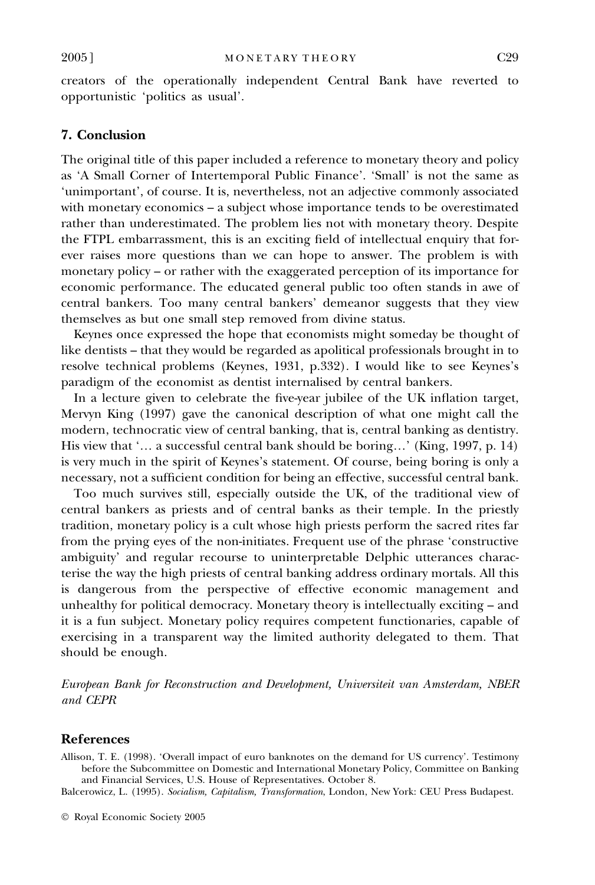creators of the operationally independent Central Bank have reverted to opportunistic 'politics as usual'.

# 7. Conclusion

The original title of this paper included a reference to monetary theory and policy as 'A Small Corner of Intertemporal Public Finance'. 'Small' is not the same as 'unimportant', of course. It is, nevertheless, not an adjective commonly associated with monetary economics – a subject whose importance tends to be overestimated rather than underestimated. The problem lies not with monetary theory. Despite the FTPL embarrassment, this is an exciting field of intellectual enquiry that forever raises more questions than we can hope to answer. The problem is with monetary policy – or rather with the exaggerated perception of its importance for economic performance. The educated general public too often stands in awe of central bankers. Too many central bankers' demeanor suggests that they view themselves as but one small step removed from divine status.

Keynes once expressed the hope that economists might someday be thought of like dentists – that they would be regarded as apolitical professionals brought in to resolve technical problems (Keynes, 1931, p.332). I would like to see Keynes's paradigm of the economist as dentist internalised by central bankers.

In a lecture given to celebrate the five-year jubilee of the UK inflation target, Mervyn King (1997) gave the canonical description of what one might call the modern, technocratic view of central banking, that is, central banking as dentistry. His view that '… a successful central bank should be boring…' (King, 1997, p. 14) is very much in the spirit of Keynes's statement. Of course, being boring is only a necessary, not a sufficient condition for being an effective, successful central bank.

Too much survives still, especially outside the UK, of the traditional view of central bankers as priests and of central banks as their temple. In the priestly tradition, monetary policy is a cult whose high priests perform the sacred rites far from the prying eyes of the non-initiates. Frequent use of the phrase 'constructive ambiguity' and regular recourse to uninterpretable Delphic utterances characterise the way the high priests of central banking address ordinary mortals. All this is dangerous from the perspective of effective economic management and unhealthy for political democracy. Monetary theory is intellectually exciting – and it is a fun subject. Monetary policy requires competent functionaries, capable of exercising in a transparent way the limited authority delegated to them. That should be enough.

European Bank for Reconstruction and Development, Universiteit van Amsterdam, NBER and CEPR

## References

Allison, T. E. (1998). 'Overall impact of euro banknotes on the demand for US currency'. Testimony before the Subcommittee on Domestic and International Monetary Policy, Committee on Banking and Financial Services, U.S. House of Representatives. October 8.

Balcerowicz, L. (1995). Socialism, Capitalism, Transformation, London, New York: CEU Press Budapest.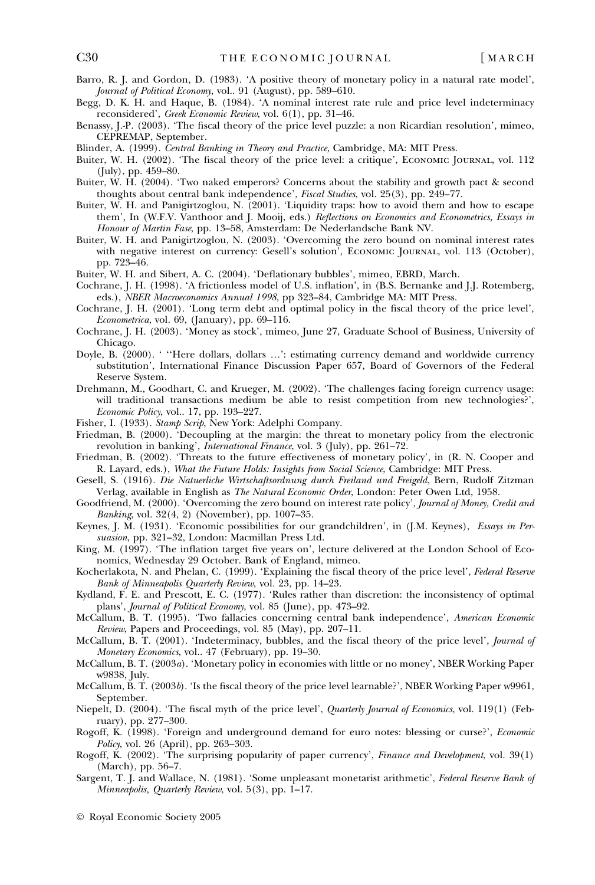- Barro, R. J. and Gordon, D. (1983). 'A positive theory of monetary policy in a natural rate model', Journal of Political Economy, vol.. 91 (August), pp. 589–610.
- Begg, D. K. H. and Haque, B. (1984). 'A nominal interest rate rule and price level indeterminacy reconsidered', Greek Economic Review, vol. 6(1), pp. 31–46.
- Benassy, J.-P. (2003). 'The fiscal theory of the price level puzzle: a non Ricardian resolution', mimeo, CEPREMAP, September.
- Blinder, A. (1999). Central Banking in Theory and Practice, Cambridge, MA: MIT Press.
- Buiter, W. H. (2002). 'The fiscal theory of the price level: a critique', ECONOMIC JOURNAL, vol. 112 (July), pp. 459–80.
- Buiter, W. H. (2004). 'Two naked emperors? Concerns about the stability and growth pact & second thoughts about central bank independence', Fiscal Studies, vol. 25(3), pp. 249–77.
- Buiter, W. H. and Panigirtzoglou, N. (2001). 'Liquidity traps: how to avoid them and how to escape them', In (W.F.V. Vanthoor and J. Mooij, eds.) Reflections on Economics and Econometrics, Essays in Honour of Martin Fase, pp. 13–58, Amsterdam: De Nederlandsche Bank NV.
- Buiter, W. H. and Panigirtzoglou, N. (2003). 'Overcoming the zero bound on nominal interest rates with negative interest on currency: Gesell's solution<sup>'</sup>, ECONOMIC JOURNAL, vol. 113 (October), pp. 723–46.
- Buiter, W. H. and Sibert, A. C. (2004). 'Deflationary bubbles', mimeo, EBRD, March.
- Cochrane, J. H. (1998). 'A frictionless model of U.S. inflation', in (B.S. Bernanke and J.J. Rotemberg, eds.), NBER Macroeconomics Annual 1998, pp 323–84, Cambridge MA: MIT Press.
- Cochrane, J. H. (2001). 'Long term debt and optimal policy in the fiscal theory of the price level', Econometrica, vol. 69, (January), pp. 69–116.
- Cochrane, J. H. (2003). 'Money as stock', mimeo, June 27, Graduate School of Business, University of Chicago.
- Doyle, B. (2000). ' ''Here dollars, dollars …': estimating currency demand and worldwide currency substitution', International Finance Discussion Paper 657, Board of Governors of the Federal Reserve System.
- Drehmann, M., Goodhart, C. and Krueger, M. (2002). 'The challenges facing foreign currency usage: will traditional transactions medium be able to resist competition from new technologies?', Economic Policy, vol.. 17, pp. 193–227.
- Fisher, I. (1933). Stamp Scrip, New York: Adelphi Company.
- Friedman, B. (2000). 'Decoupling at the margin: the threat to monetary policy from the electronic revolution in banking', International Finance, vol. 3 (July), pp. 261–72.
- Friedman, B. (2002). 'Threats to the future effectiveness of monetary policy', in (R. N. Cooper and R. Layard, eds.), What the Future Holds: Insights from Social Science, Cambridge: MIT Press.
- Gesell, S. (1916). Die Natuerliche Wirtschaftsordnung durch Freiland und Freigeld, Bern, Rudolf Zitzman Verlag, available in English as The Natural Economic Order, London: Peter Owen Ltd, 1958.
- Goodfriend, M. (2000). 'Overcoming the zero bound on interest rate policy', Journal of Money, Credit and Banking, vol. 32(4, 2) (November), pp. 1007–35.
- Keynes, J. M. (1931). 'Economic possibilities for our grandchildren', in (J.M. Keynes), Essays in Persuasion, pp. 321–32, London: Macmillan Press Ltd.
- King, M. (1997). 'The inflation target five years on', lecture delivered at the London School of Economics, Wednesday 29 October. Bank of England, mimeo.
- Kocherlakota, N. and Phelan, C. (1999). 'Explaining the fiscal theory of the price level', Federal Reserve Bank of Minneapolis Quarterly Review, vol. 23, pp. 14–23.
- Kydland, F. E. and Prescott, E. C. (1977). 'Rules rather than discretion: the inconsistency of optimal plans', Journal of Political Economy, vol. 85 (June), pp. 473-92.
- McCallum, B. T. (1995). 'Two fallacies concerning central bank independence', American Economic Review, Papers and Proceedings, vol. 85 (May), pp. 207–11.
- McCallum, B. T. (2001). 'Indeterminacy, bubbles, and the fiscal theory of the price level', Journal of Monetary Economics, vol.. 47 (February), pp. 19–30.
- McCallum, B. T. (2003a). 'Monetary policy in economies with little or no money', NBER Working Paper w9838, July.
- McCallum, B. T. (2003b). 'Is the fiscal theory of the price level learnable?', NBER Working Paper w9961, September.
- Niepelt, D. (2004). 'The fiscal myth of the price level', Quarterly Journal of Economics, vol. 119(1) (February), pp. 277–300.
- Rogoff, K. (1998). 'Foreign and underground demand for euro notes: blessing or curse?', Economic Policy, vol. 26 (April), pp. 263–303.
- Rogoff, K. (2002). 'The surprising popularity of paper currency', Finance and Development, vol. 39(1) (March), pp. 56–7.
- Sargent, T. J. and Wallace, N. (1981). 'Some unpleasant monetarist arithmetic', Federal Reserve Bank of Minneapolis, Quarterly Review, vol. 5(3), pp. 1–17.